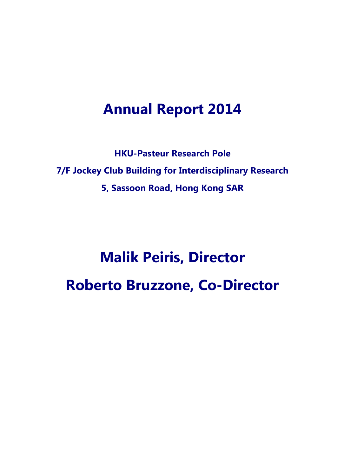# **Annual Report 2014**

**HKU-Pasteur Research Pole 7/F Jockey Club Building for Interdisciplinary Research 5, Sassoon Road, Hong Kong SAR**

# **Malik Peiris, Director Roberto Bruzzone, Co-Director**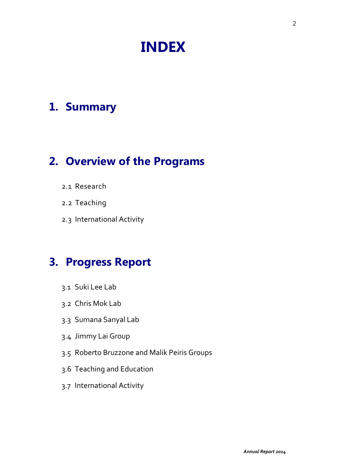# **INDEX**

# **1. Summary**

# **2. Overview of the Programs**

- 2.1 Research
- 2.2 Teaching
- 2.3 International Activity

# **3. Progress Report**

- 3.1 Suki Lee Lab
- 3.2 Chris Mok Lab
- 3.3 Sumana Sanyal Lab
- 3.4 Jimmy Lai Group
- 3.5 Roberto Bruzzone and Malik Peiris Groups
- 3.6 Teaching and Education
- 3.7 International Activity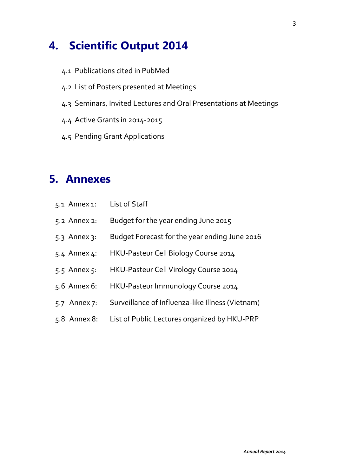# **4. Scientific Output 2014**

- 4.1 Publications cited in PubMed
- 4.2 List of Posters presented at Meetings
- 4.3 Seminars, Invited Lectures and Oral Presentations at Meetings
- 4.4 Active Grants in 2014-2015
- 4.5 Pending Grant Applications

# **5. Annexes**

| 5.1 Annex 1:     | List of Staff                                    |
|------------------|--------------------------------------------------|
| 5.2 Annex 2:     | Budget for the year ending June 2015             |
| $5.3$ Annex $3:$ | Budget Forecast for the year ending June 2016    |
| 5.4 Annex 4:     | HKU-Pasteur Cell Biology Course 2014             |
| 5.5 Annex 5:     | HKU-Pasteur Cell Virology Course 2014            |
| 5.6 Annex 6:     | HKU-Pasteur Immunology Course 2014               |
| 5.7 Annex 7:     | Surveillance of Influenza-like Illness (Vietnam) |
| $5.8$ Annex 8:   | List of Public Lectures organized by HKU-PRP     |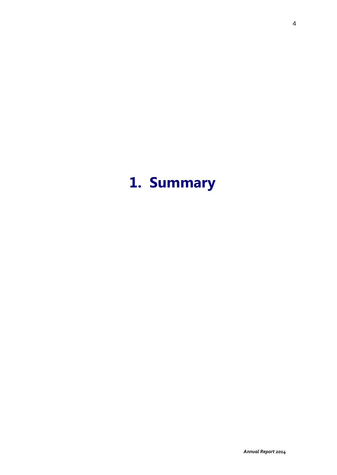# **1. Summary**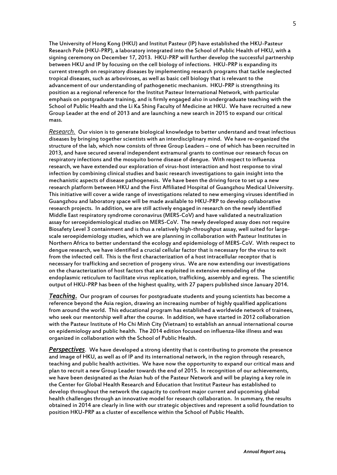The University of Hong Kong (HKU) and Institut Pasteur (IP) have established the HKU-Pasteur Research Pole (HKU-PRP), a laboratory integrated into the School of Public Health of HKU, with a signing ceremony on December 17, 2013. HKU-PRP will further develop the successful partnership between HKU and IP by focusing on the cell biology of infections. HKU-PRP is expanding its current strength on respiratory diseases by implementing research programs that tackle neglected tropical diseases, such as arboviroses, as well as basic cell biology that is relevant to the advancement of our understanding of pathogenetic mechanism. HKU-PRP is strengthning its position as a regional reference for the Institut Pasteur International Network, with particular emphasis on postgraduate training, and is firmly engaged also in undergraduate teaching with the School of Public Health and the Li Ka Shing Faculty of Medicine at HKU. We have recruited a new Group Leader at the end of 2013 and are launching a new search in 2015 to expand our critical mass.

*Research.* Our vision is to generate biological knowledge to better understand and treat infectious diseases by bringing together scientists with an interdisciplinary mind. We have re-organized the structure of the lab, which now consists of three Group Leaders – one of which has been recruited in 2013, and have secured several independent extramural grants to continue our research focus on respiratory infections and the mosquito borne disease of dengue. With respect to influenza research, we have extended our exploration of virus-host interaction and host response to viral infection by combining clinical studies and basic research investigations to gain insight into the mechanistic aspects of disease pathogenesis. We have been the driving force to set up a new research platform between HKU and the First Affiliated Hospital of Guangzhou Medical University. This initiative will cover a wide range of investigations related to new emerging viruses identified in Guangzhou and laboratory space will be made available to HKU-PRP to develop collaborative research projects. In addition, we are still actively engaged in research on the newly identified Middle East respiratory syndrome coronavirus (MERS-CoV) and have validated a neutralization assay for seroepidemiological studies on MERS-CoV. The newly developed assay does not require Biosafety Level 3 containment and is thus a relatively high-throughput assay, well suited for largescale seroepidemiology studies, which we are planning in collaboration with Pasteur Institutes in Northern Africa to better understand the ecology and epidemiology of MERS-CoV. With respect to dengue research, we have identified a crucial cellular factor that is necessary for the virus to exit from the infected cell. This is the first characterization of a host intracellular receptor that is necessary for trafficking and secretion of progeny virus. We are now extending our investigations on the characterization of host factors that are exploited in extensive remodeling of the endoplasmic reticulum to facilitate virus replication, trafficking, assembly and egress. The scientific output of HKU-PRP has been of the highest quality, with 27 papers published since January 2014.

*Teaching.* Our program of courses for postgraduate students and young scientists has become a reference beyond the Asia region, drawing an increasing number of highly qualified applications from around the world. This educational program has established a worldwide network of trainees, who seek our mentorship well after the course. In addition, we have started in 2012 collaboration with the Pasteur Institute of Ho Chi Minh City (Vietnam) to establish an annual international course on epidemiology and public health. The 2014 edition focused on influenza-like illness and was organized in collaboration with the School of Public Health.

*Perspectives*. We have developed a strong identity that is contributing to promote the presence and image of HKU, as well as of IP and its international network, in the region through research, teaching and public health activities. We have now the opportunity to expand our critical mass and plan to recruit a new Group Leader towards the end of 2015. In recognition of our achievements, we have been designated as the Asian hub of the Pasteur Network and will be playing a key role in the Center for Global Health Research and Education that Institut Pasteur has established to develop throughout the network the capacity to confront major current and upcoming global health challenges through an innovative model for research collaboration. In summary, the results obtained in 2014 are clearly in line with our strategic objectives and represent a solid foundation to position HKU-PRP as a cluster of excellence within the School of Public Health.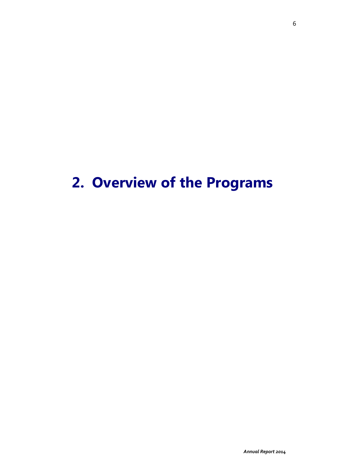# **2. Overview of the Programs**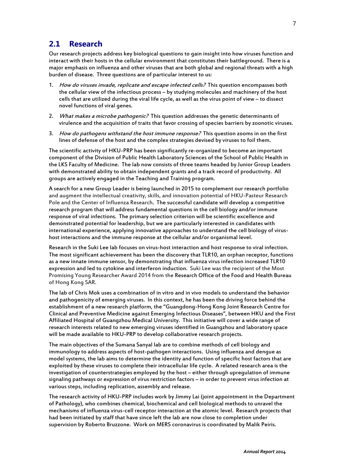#### **2.1 Research**

Our research projects address key biological questions to gain insight into how viruses function and interact with their hosts in the cellular environment that constitutes their battleground. There is a major emphasis on influenza and other viruses that are both global and regional threats with a high burden of disease. Three questions are of particular interest to us:

- 1. How do viruses invade, replicate and escape infected cells? This question encompasses both the cellular view of the infectious process – by studying molecules and machinery of the host cells that are utilized during the viral life cycle, as well as the virus point of view – to dissect novel functions of viral genes.
- 2. What makes a microbe pathogenic? This question addresses the genetic determinants of virulence and the acquisition of traits that favor crossing of species barriers by zoonotic viruses.
- 3. How do pathogens withstand the host immune response? This question zooms in on the first lines of defense of the host and the complex strategies devised by viruses to foil them.

The scientific activity of HKU-PRP has been significantly re-organized to become an important component of the Division of Public Health Laboratory Sciences of the School of Public Health in the LKS Faculty of Medicine. The lab now consists of three teams headed by Junior Group Leaders with demonstrated ability to obtain independent grants and a track record of productivity. All groups are actively engaged in the Teaching and Training program.

A search for a new Group Leader is being launched in 2015 to complement our research portfolio and augment the intellectual creativity, skills, and innovation potential of HKU-Pasteur Research Pole and the Center of Influenza Research. The successful candidate will develop a competitive research program that will address fundamental questions in the cell biology and/or immune response of viral infections. The primary selection criterion will be scientific excellence and demonstrated potential for leadership, but we are particularly interested in candidates with international experience, applying innovative approaches to understand the cell biology of virushost interactions and the immune response at the cellular and/or organismal level.

Research in the Suki Lee lab focuses on virus-host interaction and host response to viral infection. The most significant achievement has been the discovery that TLR10, an orphan receptor, functions as a new innate immune sensor, by demonstrating that influenza virus infection increased TLR10 expression and led to cytokine and interferon induction. Suki Lee was the recipient of the Most Promising Young Researcher Award 2014 from the Research Office of the Food and Health Bureau of Hong Kong SAR.

The lab of Chris Mok uses a combination of in vitro and in vivo models to understand the behavior and pathogenicity of emerging viruses. In this context, he has been the driving force behind the establishment of a new research platform, the "Guangdong-Hong Kong Joint Research Centre for Clinical and Preventive Medicine against Emerging Infectious Diseases", between HKU and the First Affiliated Hospital of Guangzhou Medical University. This initiative will cover a wide range of research interests related to new emerging viruses identified in Guangzhou and laboratory space will be made available to HKU-PRP to develop collaborative research projects.

The main objectives of the Sumana Sanyal lab are to combine methods of cell biology and immunology to address aspects of host-pathogen interactions. Using influenza and dengue as model systems, the lab aims to determine the identity and function of specific host factors that are exploited by these viruses to complete their intracellular life cycle. A related research area is the investigation of counterstrategies employed by the host – either through upregulation of immune signaling pathways or expression of virus restriction factors – in order to prevent virus infection at various steps, including replication, assembly and release.

The research activity of HKU-PRP includes work by Jimmy Lai (joint appointment in the Department of Pathology), who combines chemical, biochemical and cell biological methods to unravel the mechanisms of influenza virus-cell receptor interaction at the atomic level. Research projects that had been initiated by staff that have since left the lab are now close to completion under supervision by Roberto Bruzzone. Work on MERS coronavirus is coordinated by Malik Peiris.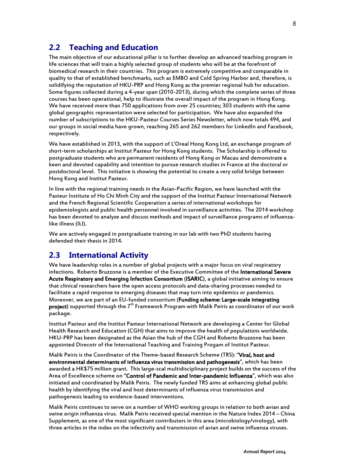### **2.2 Teaching and Education**

The main objective of our educational pillar is to further develop an advanced teaching program in life sciences that will train a highly selected group of students who will be at the forefront of biomedical research in their countries. This program is extremely competitive and comparable in quality to that of established benchmarks, such as EMBO and Cold Spring Harbor and, therefore, is solidifying the reputation of HKU-PRP and Hong Kong as the premier regional hub for education. Some figures collected during a 4-year span (2010-2013), during which the complete series of three courses has been operational, help to illustrate the overall impact of the program in Hong Kong. We have received more than 750 applications from over 25 countries; 303 students with the same global geographic representation were selected for participation. We have also expanded the number of subscriptions to the HKU-Pasteur Courses Series Newsletter, which now totals 494, and our groups in social media have grown, reaching 265 and 262 members for LinkedIn and Facebook, respectively.

We have established in 2013, with the support of L'Oreal Hong Kong Ltd, an exchange program of short-term scholarships at Institut Pasteur for Hong Kong students. The Scholarship is offered to postgraduate students who are permanent residents of Hong Kong or Macau and demonstrate a keen and devoted capability and intention to pursue research studies in France at the doctoral or postdoctoral level. This initiative is showing the potential to create a very solid bridge between Hong Kong and Institut Pasteur.

In line with the regional training needs in the Asian-Pacific Region, we have launched with the Pasteur Institute of Ho Chi Minh City and the support of the Institut Pasteur International Network and the French Regional Scientific Cooperation a series of international workshops for epidemiologists and public health personnel involved in surveillance activities. The 2014 workshop has been devoted to analyze and discuss methods and impact of surveillance programs of influenzalike illness (ILI).

We are actively engaged in postgraduate training in our lab with two PhD students having defended their thesis in 2014.

#### **2.3 International Activity**

We have leadership roles in a number of global projects with a major focus on viral respiratory infections. Roberto Bruzzone is a member of the Executive Committee of the International Severe Acute Respiratory and Emerging Infection Consortium (ISARIC), a global initiative aiming to ensure that clinical researchers have the open access protocols and data-sharing processes needed to facilitate a rapid response to emerging diseases that may turn into epidemics or pandemics. Moreover, we are part of an EU-funded consortium (Funding scheme: Large-scale integrating project) supported through the 7<sup>th</sup> Framework Program with Malik Peiris as coordinator of our work package.

Institut Pasteur and the Institut Pasteur International Network are developing a Center for Global Health Research and Education (CGH) that aims to improve the health of populations worldwide. HKU-PRP has been designated as the Asian the hub of the CGH and Roberto Bruzzone has been appointed Direcotr of the International Teaching and Training Progam of Institut Pasteur.

Malik Peiris is the Coordinator of the Theme-based Research Scheme (TRS): "Viral, host and environmental determinants of influenza virus transmission and pathogenesis", which has been awarded a HK\$75 million grant. This large-scal multidisciplinary project builds on the success of the Area of Excellence scheme on "Control of Pandemic and Inter-pandemic Influenza", which was also initiated and coordinated by Malik Peiris. The newly funded TRS aims at enhancing global public health by identifying the viral and host determinants of influenza virus transmission and pathogenesis leading to evidence-based interventions.

Malik Peiris continues to serve on a number of WHO working groups in relation to both avian and swine origin influenza virus. Malik Peiris received special mention in the Nature Index 2014 – China Supplement, as one of the most significant contributors in this area (microbiology/virology), with three articles in the index on the infectivity and transmission of avian and swine influenza viruses.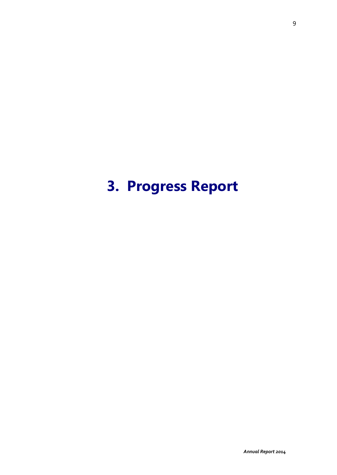# **3. Progress Report**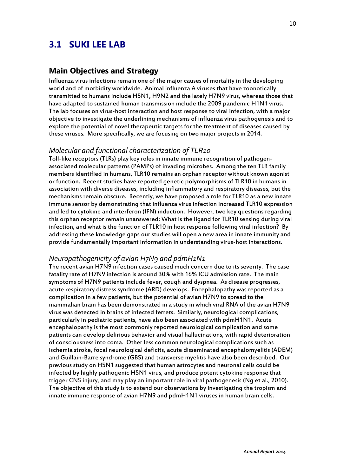# **3.1 SUKI LEE LAB**

#### **Main Objectives and Strategy**

Influenza virus infections remain one of the major causes of mortality in the developing world and of morbidity worldwide. Animal influenza A viruses that have zoonotically transmitted to humans include H5N1, H9N2 and the lately H7N9 virus, whereas those that have adapted to sustained human transmission include the 2009 pandemic H1N1 virus. The lab focuses on virus-host interaction and host response to viral infection, with a major objective to investigate the underlining mechanisms of influenza virus pathogenesis and to explore the potential of novel therapeutic targets for the treatment of diseases caused by these viruses. More specifically, we are focusing on two major projects in 2014.

#### *Molecular and functional characterization of TLR10*

Toll-like receptors (TLRs) play key roles in innate immune recognition of pathogenassociated molecular patterns (PAMPs) of invading microbes. Among the ten TLR family members identified in humans, TLR10 remains an orphan receptor without known agonist or function. Recent studies have reported genetic polymorphisms of TLR10 in humans in association with diverse diseases, including inflammatory and respiratory diseases, but the mechanisms remain obscure. Recently, we have proposed a role for TLR10 as a new innate immune sensor by demonstrating that influenza virus infection increased TLR10 expression and led to cytokine and interferon (IFN) induction. However, two key questions regarding this orphan receptor remain unanswered: What is the ligand for TLR10 sensing during viral infection, and what is the function of TLR10 in host response following viral infection? By addressing these knowledge gaps our studies will open a new area in innate immunity and provide fundamentally important information in understanding virus-host interactions.

#### *Neuropathogenicity of avian H7N9 and pdmH1N1*

The recent avian H7N9 infection cases caused much concern due to its severity. The case fatality rate of H7N9 infection is around 30% with 16% ICU admission rate. The main symptoms of H7N9 patients include fever, cough and dyspnea. As disease progresses, acute respiratory distress syndrome (ARD) develops. Encephalopathy was reported as a complication in a few patients, but the potential of avian H7N9 to spread to the mammalian brain has been demonstrated in a study in which viral RNA of the avian H7N9 virus was detected in brains of infected ferrets. Similarly, neurological complications, particularly in pediatric patients, have also been associated with pdmH1N1. Acute encephalopathy is the most commonly reported neurological complication and some patients can develop delirious behavior and visual hallucinations, with rapid deterioration of consciousness into coma. Other less common neurological complications such as ischemia stroke, focal neurological deficits, acute disseminated encephalomyelitis (ADEM) and Guillain-Barre syndrome (GBS) and transverse myelitis have also been described. Our previous study on H5N1 suggested that human astrocytes and neuronal cells could be infected by highly pathogenic H5N1 virus, and produce potent cytokine response that trigger CNS injury, and may play an important role in viral pathogenesis (Ng et al., 2010). The objective of this study is to extend our observations by investigating the tropism and innate immune response of avian H7N9 and pdmH1N1 viruses in human brain cells.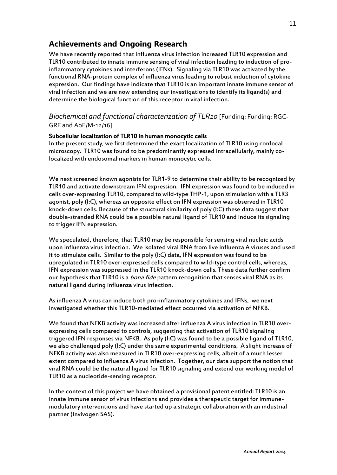## **Achievements and Ongoing Research**

We have recently reported that influenza virus infection increased TLR10 expression and TLR10 contributed to innate immune sensing of viral infection leading to induction of proinflammatory cytokines and interferons (IFNs). Signaling via TLR10 was activated by the functional RNA-protein complex of influenza virus leading to robust induction of cytokine expression. Our findings have indicate that TLR10 is an important innate immune sensor of viral infection and we are now extending our investigations to identify its ligand(s) and determine the biological function of this receptor in viral infection.

#### *Biochemical and functional characterization of TLR10* [Funding: Funding: RGC-GRF and AoE/M-12/16]

#### Subcellular localization of TLR10 in human monocytic cells

In the present study, we first determined the exact localization of TLR10 using confocal microscopy. TLR10 was found to be predominantly expressed intracellularly, mainly colocalized with endosomal markers in human monocytic cells.

We next screened known agonists for TLR1-9 to determine their ability to be recognized by TLR10 and activate downstream IFN expression. IFN expression was found to be induced in cells over-expressing TLR10, compared to wild-type THP-1, upon stimulation with a TLR3 agonist, poly (I:C), whereas an opposite effect on IFN expression was observed in TLR10 knock-down cells. Because of the structural similarity of poly (I:C) these data suggest that double-stranded RNA could be a possible natural ligand of TLR10 and induce its signaling to trigger IFN expression.

We speculated, therefore, that TLR10 may be responsible for sensing viral nucleic acids upon influenza virus infection. We isolated viral RNA from live influenza A viruses and used it to stimulate cells. Similar to the poly (I:C) data, IFN expression was found to be upregulated in TLR10 over-expressed cells compared to wild-type control cells, whereas, IFN expression was suppressed in the TLR10 knock-down cells. These data further confirm our hypothesis that TLR10 is a *bona fide* pattern recognition that senses viral RNA as its natural ligand during influenza virus infection.

As influenza A virus can induce both pro-inflammatory cytokines and IFNs, we next investigated whether this TLR10-mediated effect occurred via activation of NFKB.

We found that NFKB activity was increased after influenza A virus infection in TLR10 overexpressing cells compared to controls, suggesting that activation of TLR10 signaling triggered IFN responses via NFKB. As poly (I:C) was found to be a possible ligand of TLR10, we also challenged poly (I:C) under the same experimental conditions. A slight increase of NFKB activity was also measured in TLR10 over-expressing cells, albeit of a much lesser extent compared to influenza A virus infection. Together, our data support the notion that viral RNA could be the natural ligand for TLR10 signaling and extend our working model of TLR10 as a nucleotide-sensing receptor.

In the context of this project we have obtained a provisional patent entitled: TLR10 is an innate immune sensor of virus infections and provides a therapeutic target for immunemodulatory interventions and have started up a strategic collaboration with an industrial partner (Invivogen SAS).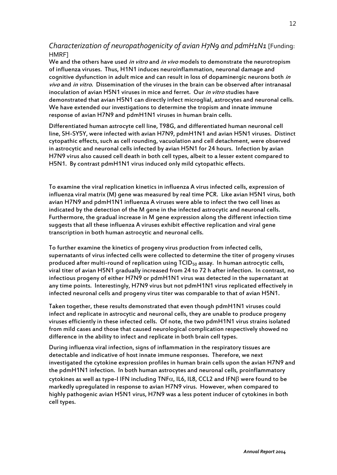#### *Characterization of neuropathogenicity of avian H7N9 and pdmH1N1* [Funding: HMRF]

We and the others have used in vitro and in vivo models to demonstrate the neurotropism of influenza viruses. Thus, H1N1 induces neuroinflammation, neuronal damage and cognitive dysfunction in adult mice and can result in loss of dopaminergic neurons both in vivo and in vitro. Dissemination of the viruses in the brain can be observed after intranasal inoculation of avian H5N1 viruses in mice and ferret. Our *in vitro* studies have demonstrated that avian H5N1 can directly infect microglial, astrocytes and neuronal cells. We have extended our investigations to determine the tropism and innate immune response of avian H7N9 and pdmH1N1 viruses in human brain cells.

Differentiated human astrocyte cell line, T98G, and differentiated human neuronal cell line, SH-SY5Y, were infected with avian H7N9, pdmH1N1 and avian H5N1 viruses. Distinct cytopathic effects, such as cell rounding, vacuolation and cell detachment, were observed in astrocytic and neuronal cells infected by avian H5N1 for 24 hours. Infection by avian H7N9 virus also caused cell death in both cell types, albeit to a lesser extent compared to H5N1. By contrast pdmH1N1 virus induced only mild cytopathic effects.

To examine the viral replication kinetics in influenza A virus infected cells, expression of influenza viral matrix (M) gene was measured by real time PCR. Like avian H5N1 virus, both avian H7N9 and pdmH1N1 influenza A viruses were able to infect the two cell lines as indicated by the detection of the M gene in the infected astrocytic and neuronal cells. Furthermore, the gradual increase in M gene expression along the different infection time suggests that all these influenza A viruses exhibit effective replication and viral gene transcription in both human astrocytic and neuronal cells.

To further examine the kinetics of progeny virus production from infected cells, supernatants of virus infected cells were collected to determine the titer of progeny viruses produced after multi-round of replication using  $TCID<sub>50</sub>$  assay. In human astrocytic cells, viral titer of avian H5N1 gradually increased from 24 to 72 h after infection. In contrast, no infectious progeny of either H7N9 or pdmH1N1 virus was detected in the supernatant at any time points. Interestingly, H7N9 virus but not pdmH1N1 virus replicated effectively in infected neuronal cells and progeny virus titer was comparable to that of avian H5N1.

Taken together, these results demonstrated that even though pdmH1N1 viruses could infect and replicate in astrocytic and neuronal cells, they are unable to produce progeny viruses efficiently in these infected cells. Of note, the two pdmH1N1 virus strains isolated from mild cases and those that caused neurological complication respectively showed no difference in the ability to infect and replicate in both brain cell types.

During influenza viral infection, signs of inflammation in the respiratory tissues are detectable and indicative of host innate immune responses. Therefore, we next investigated the cytokine expression profiles in human brain cells upon the avian H7N9 and the pdmH1N1 infection. In both human astrocytes and neuronal cells, proinflammatory cytokines as well as type-I IFN including TNF $\alpha$ , IL6, IL8, CCL2 and IFN $\beta$  were found to be markedly upregulated in response to avian H7N9 virus. However, when compared to highly pathogenic avian H5N1 virus, H7N9 was a less potent inducer of cytokines in both cell types.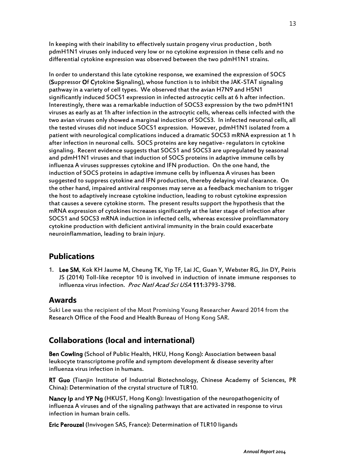In keeping with their inability to effectively sustain progeny virus production , both pdmH1N1 viruses only induced very low or no cytokine expression in these cells and no differential cytokine expression was observed between the two pdmH1N1 strains.

In order to understand this late cytokine response, we examined the expression of SOCS (Suppressor Of Cytokine Signaling), whose function is to inhibit the JAK-STAT signaling pathway in a variety of cell types. We observed that the avian H7N9 and H5N1 significantly induced SOCS1 expression in infected astrocytic cells at 6 h after infection. Interestingly, there was a remarkable induction of SOCS3 expression by the two pdmH1N1 viruses as early as at 1h after infection in the astrocytic cells, whereas cells infected with the two avian viruses only showed a marginal induction of SOCS3. In infected neuronal cells, all the tested viruses did not induce SOCS1 expression. However, pdmH1N1 isolated from a patient with neurological complications induced a dramatic SOCS3 mRNA expression at 1 h after infection in neuronal cells. SOCS proteins are key negative- regulators in cytokine signaling. Recent evidence suggests that SOCS1 and SOCS3 are upregulated by seasonal and pdmH1N1 viruses and that induction of SOCS proteins in adaptive immune cells by influenza A viruses suppresses cytokine and IFN production. On the one hand, the induction of SOCS proteins in adaptive immune cells by influenza A viruses has been suggested to suppress cytokine and IFN production, thereby delaying viral clearance. On the other hand, impaired antiviral responses may serve as a feedback mechanism to trigger the host to adaptively increase cytokine induction, leading to robust cytokine expression that causes a severe cytokine storm. The present results support the hypothesis that the mRNA expression of cytokines increases significantly at the later stage of infection after SOCS1 and SOCS3 mRNA induction in infected cells, whereas excessive proinflammatory cytokine production with deficient antiviral immunity in the brain could exacerbate neuroinflammation, leading to brain injury.

# **Publications**

1. Lee SM, Kok KH Jaume M, Cheung TK, Yip TF, Lai JC, Guan Y, Webster RG, Jin DY, Peiris JS (2014) Toll-like receptor 10 is involved in induction of innate immune responses to influenza virus infection. Proc Natl Acad Sci USA 111:3793-3798.

#### **Awards**

Suki Lee was the recipient of the Most Promising Young Researcher Award 2014 from the Research Office of the Food and Health Bureau of Hong Kong SAR.

# **Collaborations (local and international)**

Ben Cowling (School of Public Health, HKU, Hong Kong): Association between basal leukocyte transcriptome profile and symptom development & disease severity after influenza virus infection in humans.

RT Guo (Tianjin Institute of Industrial Biotechnology, Chinese Academy of Sciences, PR China): Determination of the crystal structure of TLR10.

Nancy Ip and YP Ng (HKUST, Hong Kong): Investigation of the neuropathogenicity of influenza A viruses and of the signaling pathways that are activated in response to virus infection in human brain cells.

Eric Perouzel (Invivogen SAS, France): Determination of TLR10 ligands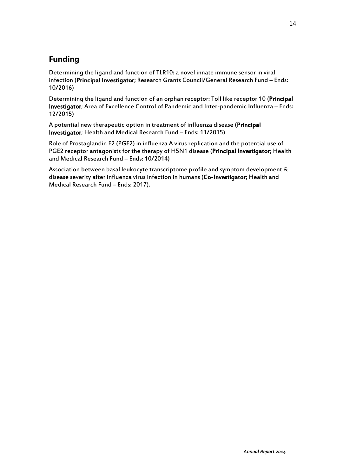# **Funding**

Determining the ligand and function of TLR10: a novel innate immune sensor in viral infection (Principal Investigator; Research Grants Council/General Research Fund – Ends: 10/2016)

Determining the ligand and function of an orphan receptor: Toll like receptor 10 (Principal Investigator; Area of Excellence Control of Pandemic and Inter-pandemic Influenza – Ends: 12/2015)

A potential new therapeutic option in treatment of influenza disease (Principal Investigator; Health and Medical Research Fund – Ends: 11/2015)

Role of Prostaglandin E2 (PGE2) in influenza A virus replication and the potential use of PGE2 receptor antagonists for the therapy of H5N1 disease (Principal Investigator; Health and Medical Research Fund – Ends: 10/2014)

Association between basal leukocyte transcriptome profile and symptom development & disease severity after influenza virus infection in humans (Co-Investigator; Health and Medical Research Fund – Ends: 2017).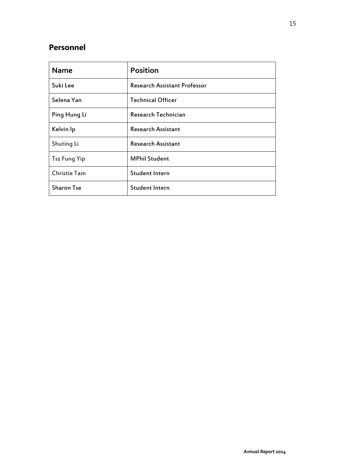## **Personnel**

| <b>Name</b>         | <b>Position</b>                     |
|---------------------|-------------------------------------|
| Suki Lee            | <b>Research Assistant Professor</b> |
| Selena Yan          | <b>Technical Officer</b>            |
| Ping Hung Li        | Research Technician                 |
| Kelvin Ip           | <b>Research Assistant</b>           |
| Shuting Li          | <b>Research Assistant</b>           |
| <b>Tsz Fung Yip</b> | <b>MPhil Student</b>                |
| <b>Christie Tam</b> | <b>Student Intern</b>               |
| <b>Sharon Tse</b>   | <b>Student Intern</b>               |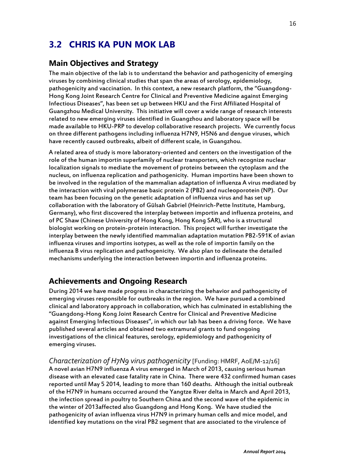# **3.2 CHRIS KA PUN MOK LAB**

### **Main Objectives and Strategy**

The main objective of the lab is to understand the behavior and pathogenicity of emerging viruses by combining clinical studies that span the areas of serology, epidemiology, pathogenicity and vaccination. In this context, a new research platform, the "Guangdong-Hong Kong Joint Research Centre for Clinical and Preventive Medicine against Emerging Infectious Diseases", has been set up between HKU and the First Affiliated Hospital of Guangzhou Medical University. This initiative will cover a wide range of research interests related to new emerging viruses identified in Guangzhou and laboratory space will be made available to HKU-PRP to develop collaborative research projects. We currently focus on three different pathogens including influenza H7N9, H5N6 and dengue viruses, which have recently caused outbreaks, albeit of different scale, in Guangzhou.

A related area of study is more laboratory-oriented and centers on the investigation of the role of the human importin superfamily of nuclear transporters, which recognize nuclear localization signals to mediate the movement of proteins between the cytoplasm and the nucleus, on influenza replication and pathogenicity. Human importins have been shown to be involved in the regulation of the mammalian adaptation of influenza A virus mediated by the interaction with viral polymerase basic protein 2 (PB2) and nucleoporotein (NP). Our team has been focusing on the genetic adaptation of influenza virus and has set up collaboration with the laboratory of Gülsah Gabriel (Heinrich-Pette Institute, Hamburg, Germany), who first discovered the interplay between importin and influenza proteins, and of PC Shaw (Chinese University of Hong Kong, Hong Kong SAR), who is a structural biologist working on protein-protein interaction. This project will further investigate the interplay between the newly identified mammalian adaptation mutation PB2-591K of avian influenza viruses and importins isotypes, as well as the role of importin family on the influenza B virus replication and pathogenicity. We also plan to delineate the detailed mechanisms underlying the interaction between importin and influenza proteins.

## **Achievements and Ongoing Research**

During 2014 we have made progress in characterizing the behavior and pathogenicity of emerging viruses responsible for outbreaks in the region. We have pursued a combined clinical and laboratory approach in collaboration, which has culminated in establishing the "Guangdong-Hong Kong Joint Research Centre for Clinical and Preventive Medicine against Emerging Infectious Diseases", in which our lab has been a driving force. We have published several articles and obtained two extramural grants to fund ongoing investigations of the clinical features, serology, epidemiology and pathogenicity of emerging viruses.

*Characterization of H7N9 virus pathogenicity* [Funding: HMRF, AoE/M-12/16] A novel avian H7N9 influenza A virus emerged in March of 2013, causing serious human disease with an elevated case fatality rate in China. There were 432 confirmed human cases reported until May 5 2014, leading to more than 160 deaths. Although the initial outbreak of the H7N9 in humans occurred around the Yangtze River delta in March and April 2013, the infection spread in poultry to Southern China and the second wave of the epidemic in the winter of 2013affected also Guangdong and Hong Kong. We have studied the pathogenicity of avian influenza virus H7N9 in primary human cells and mice model, and identified key mutations on the viral PB2 segment that are associated to the virulence of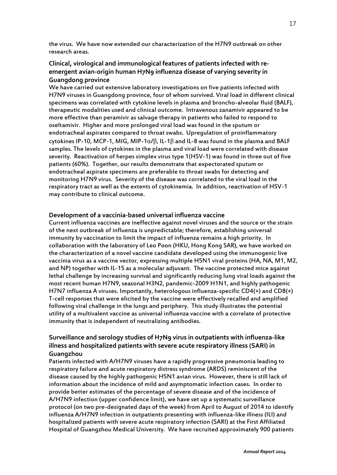the virus. We have now extended our characterization of the H7N9 outbreak on other research areas.

#### **Clinical, virological and immunological features of patients infected with [re](http://www.ncbi.nlm.nih.gov/pubmed/14987888)emergent [avian-origin human H7N9 influenza disease of varying severity in](http://www.ncbi.nlm.nih.gov/pubmed/14987888)  [Guangdong province](http://www.ncbi.nlm.nih.gov/pubmed/14987888)**

We have carried out extensive laboratory investigations on five patients infected with H7N9 viruses in Guangdong province, four of whom survived. Viral load in different clinical specimens was correlated with cytokine levels in plasma and broncho-alveolar fluid (BALF), therapeutic modalities used and clinical outcome. Intravenous zanamivir appeared to be more effective than peramivir as salvage therapy in patients who failed to respond to oseltamivir. Higher and more prolonged viral load was found in the sputum or endotracheal aspirates compared to throat swabs. Upregulation of proinflammatory cytokines IP-10, MCP-1, MIG, MIP-1α/β, IL-1β and IL-8 was found in the plasma and BALF samples. The levels of cytokines in the plasma and viral load were correlated with disease severity. Reactivation of herpes simplex virus type 1(HSV-1) was found in three out of five patients (60%). Together, our results demonstrate that expectorated sputum or endotracheal aspirate specimens are preferable to throat swabs for detecting and monitoring H7N9 virus. Severity of the disease was correlated to the viral load in the respiratory tract as well as the extents of cytokinemia. In addition, reactivation of HSV-1 may contribute to clinical outcome.

#### **Development of a vaccinia-based universal influenza vaccine**

Current influenza vaccines are ineffective against novel viruses and the source or the strain of the next outbreak of influenza is unpredictable; therefore, establishing universal immunity by vaccination to limit the impact of influenza remains a high priority. In collaboration with the laboratory of Leo Poon (HKU, Hong Kong SAR), we have worked on the characterization of a novel vaccine candidate developed using the immunogenic live vaccinia virus as a vaccine vector, expressing multiple H5N1 viral proteins (HA, NA, M1, M2, and NP) together with IL-15 as a molecular adjuvant. The vaccine protected mice against lethal challenge by increasing survival and significantly reducing lung viral loads against the most recent human H7N9, seasonal H3N2, pandemic-2009 H1N1, and highly pathogenic H7N7 influenza A viruses. Importantly, heterologous influenza-specific CD4(+) and CD8(+) T-cell responses that were elicited by the vaccine were effectively recalled and amplified following viral challenge in the lungs and periphery. This study illustrates the potential utility of a multivalent vaccine as universal influenza vaccine with a correlate of protective immunity that is independent of neutralizing antibodies.

#### **Surveillance and serology studies of H7N9 virus in outpatients with influenza-like illness and hospitalized patients with severe acute respiratory illness (SARI) in Guangzhou**

Patients infected with A/H7N9 viruses have a rapidly progressive pneumonia leading to respiratory failure and acute respiratory distress syndrome (ARDS) reminiscent of the disease caused by the highly pathogenic H5N1 avian virus. However, there is still lack of information about the incidence of mild and asymptomatic infection cases. In order to provide better estimates of the percentage of severe disease and of the incidence of A/H7N9 infection (upper confidence limit), we have set up a systematic surveillance protocol (on two pre-designated days of the week) from April to August of 2014 to identify influenza A/H7N9 infection in outpatients presenting with influenza-like illness (ILI) and hospitalized patients with severe acute respiratory infection (SARI) at the First Affiliated Hospital of Guangzhou Medical University. We have recruited approximately 900 patients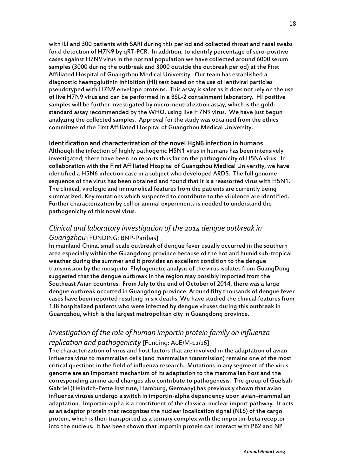with ILI and 300 patients with SARI during this period and collected throat and nasal swabs for d detection of H7N9 by qRT-PCR. In addition, to identify percentage of sero-positive cases against H7N9 virus in the normal population we have collected around 6000 serum samples (3000 during the outbreak and 3000 outside the outbreak period) at the First Affiliated Hospital of Guangzhou Medical University. Our team has established a diagnostic heamgglutinin inhibition (HI) test based on the use of lentiviral particles pseudotyped with H7N9 envelope proteins. This assay is safer as it does not rely on the use of live H7N9 virus and can be performed in a BSL-2 containment laboratory. HI positive samples will be further investigated by micro-neutralization assay, which is the goldstandard assay recommended by the WHO, using live H7N9 virus. We have just begun analyzing the collected samples. Approval for the study was obtained from the ethics committee of the First Affiliated Hospital of Guangzhou Medical University.

**Identification and characterization of the novel H5N6 infection in humans** Although the infection of highly pathogenic H5N1 virus in humans has been intensively investigated, there have been no reports thus far on the pathogenicity of H5N6 virus. In collaboration with the First Affiliated Hospital of Guangzhou Medical University, we have identified a H5N6 infection case in a subject who developed ARDS. The full genome sequence of the virus has been obtained and found that it is a reassorted virus with H5N1. The clinical, virologic and immunolical features from the patients are currently being summarized. Key mutations which suspected to contribute to the virulence are identified. Further characterization by cell or animal experiments is needed to understand the pathogenicity of this novel virus.

### *Clinical and laboratory investigation of the 2014 dengue outbreak in Guangzhou* [FUNDING: BNP-Paribas]

In mainland China, small scale outbreak of dengue fever usually occurred in the southern area especially within the Guangdong province because of the hot and humid sub-tropical weather during the summer and it provides an excellent condition to the dengue transmission by the mosquito. Phylogenetic analysis of the virus isolates from GuangDong suggested that the dengue outbreak in the region may possibly imported from the Southeast Asian countries. From July to the end of October of 2014, there was a large dengue outbreak occurred in Guangdong province. Around fifty thousands of dengue fever cases have been reported resulting in six deaths. We have studied the clinical features from 138 hospitalized patients who were infected by dengue viruses during this outbreak in Guangzhou, which is the largest metropolitan city in Guangdong province.

### *Investigation of the role of human importin protein family on influenza replication and pathogenicity* [Funding: AoE/M-12/16]

The characterization of virus and host factors that are involved in the adaptation of avian influenza virus to mammalian cells (and mammalian transmission) remains one of the most critical questions in the field of influenza research. Mutations in any segment of the virus genome are an important mechanism of its adaptation to the mammalian host and the corresponding amino acid changes also contribute to pathogenesis. The group of Guelsah Gabriel (Heinrich-Pette Institute, Hamburg, Germany) has previously shown that avian influenza viruses undergo a switch in importin-alpha dependency upon avian–mammalian adaptation. Importin-alpha is a constituent of the classical nuclear import pathway. It acts as an adaptor protein that recognizes the nuclear localization signal (NLS) of the cargo protein, which is then transported as a ternary complex with the importin-beta receptor into the nucleus. It has been shown that importin protein can interact with PB2 and NP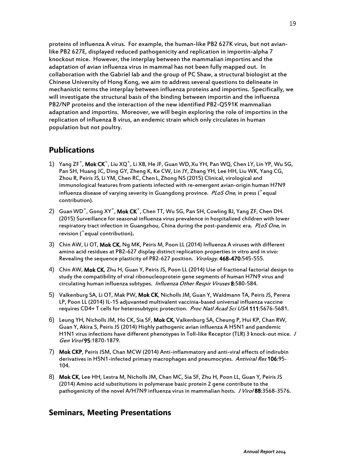proteins of influenza A virus. For example, the human-like PB2 627K virus, but not avianlike PB2 627E, displayed reduced pathogenicity and replication in importin-alpha 7 knockout mice. However, the interplay between the mammalian importins and the adaptation of avian influenza virus in mammal has not been fully mapped out. In collaboration with the Gabriel lab and the group of PC Shaw, a structural biologist at the Chinese University of Hong Kong, we aim to address several questions to delineate in mechanistic terms the interplay between influenza proteins and importins. Specifically, we will investigate the structural basis of the binding between importin and the influenza PB2/NP proteins and the interaction of the new identified PB2-Q591K mammalian adaptation and importins. Moreover, we will begin exploring the role of importins in the replication of influenza B virus, an endemic strain which only circulates in human population but not poultry.

#### **Publications**

- 1) Yang ZF<sup>\*</sup>, Mok CK<sup>\*</sup>, Liu XQ<sup>\*</sup>, Li XB, He JF, Guan WD, Xu YH, Pan WQ, Chen LY, Lin YP, Wu SG, Pan SH, Huang JC, Ding GY, Zheng K, Ke CW, Lin JY, Zhang YH, Lee HH, Liu WK, Yang CG, Zhou R, Peiris JS, Li YM, Chen RC, Chen L,Zhong NS (2015) Clinical, virological and immunological features from patients infected with re-emergent avian-origin human H7N9 influenza disease of varying severity in Guangdong province. *PLoS One*, in press (<sup>\*</sup>equal contribution).
- 2) Guan WD<sup>\*</sup>, Gong XY<sup>\*</sup>, Mok CK<sup>\*</sup>, Chen TT, Wu SG, Pan SH, Cowling BJ, Yang ZF, Chen DH. (2015) Surveillance for seasonal influenza virus prevalence in hospitalized children with lower respiratory tract infection in Guangzhou, China during the post-pandemic era. PLoS One, in revision ( \* equal contribution).
- 3) Chin AW, Li OT, Mok CK, Ng MK, Peiris M, Poon LL (2014[\) Influenza A viruses with different](http://www-ncbi-nlm-nih-gov.eproxy1.lib.hku.hk/pubmed/25262472)  [amino acid residues at PB2-627 display distinct replication properties in vitro and in vivo:](http://www-ncbi-nlm-nih-gov.eproxy1.lib.hku.hk/pubmed/25262472)  [Revealing the sequence plasticity of PB2-627 position.](http://www-ncbi-nlm-nih-gov.eproxy1.lib.hku.hk/pubmed/25262472) Virology. 468-470:545-555.
- 4) Chin AW, Mok CK, Zhu H, Guan Y, Peiris JS, Poon LL (2014[\) Use of fractional factorial design to](http://www-ncbi-nlm-nih-gov.eproxy1.lib.hku.hk/pubmed/25043276)  [study the compatibility of viral ribonucleoprotein gene segments of human](http://www-ncbi-nlm-nih-gov.eproxy1.lib.hku.hk/pubmed/25043276) H7N9 virus and [circulating human influenza](http://www-ncbi-nlm-nih-gov.eproxy1.lib.hku.hk/pubmed/25043276) subtypes. Influenza Other Respir Viruses 8:580-584.
- 5) Valkenburg SA, Li OT, Mak PW, Mok CK, Nicholls JM, Guan Y, Waldmann TA, Peiris JS, Perera LP, Poon LL (2014) [IL-15 adjuvanted multivalent vaccinia-based universal influenza](http://www-ncbi-nlm-nih-gov.eproxy1.lib.hku.hk/pubmed/24706798) vaccine [requires CD4+ T cells for heterosubtypic protection.](http://www-ncbi-nlm-nih-gov.eproxy1.lib.hku.hk/pubmed/24706798) Proc Natl Acad Sci USA 111:5676-5681.
- 6) Leung YH, Nicholls JM, Ho CK, Sia SF, Mok CK, Valkenburg SA, Cheung P, Hui KP, Chan RW, Guan Y, Akira S, Peiris JS (2014[\) Highly pathogenic avian influenza](http://www-ncbi-nlm-nih-gov.eproxy1.lib.hku.hk/pubmed/24878639) A H5N1 and pandemic [H1N1 virus infections have different phenotypes in Toll-like Receptor \(TLR\) 3 knock-out mice.](http://www-ncbi-nlm-nih-gov.eproxy1.lib.hku.hk/pubmed/24878639) J Gen Virol 95:1870-1879.
- 7) Mok CKP, Peiris JSM, Chan MCW (2014) Anti-inflammatory and anti-viral effects of indirubin derivatives in H5N1-infected primary macrophages and pneumocytes. Antiviral Res 106:95-104.
- 8) Mok CK, Lee HH, Lestra M, Nicholls JM, Chan MC, Sia SF, Zhu H, Poon LL, Guan Y, Peiris JS (2014) Amino acid substitutions in polymerase basic protein 2 gene contribute to the pathogenicity of the novel A/H7N9 influenza virus in mammalian hosts. J Viro/88:3568-3576.

#### **Seminars, Meeting Presentations**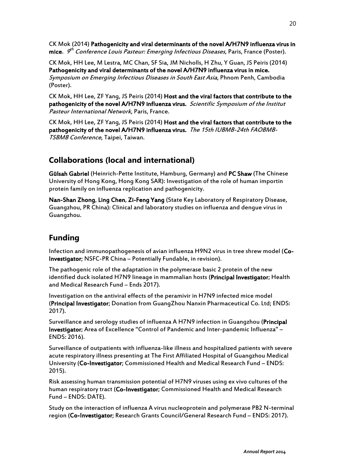CK Mok (2014) Pathogenicity and viral determinants of the novel A/H7N9 influenza virus in **mice**.  $\bm{\mathit{g}}^{th}$  Conference Louis Pasteur: Emerging Infectious Diseases, Paris, France (Poster).

CK Mok, HH Lee, M Lestra, MC Chan, SF Sia, JM Nicholls, H Zhu, Y Guan, JS Peiris (2014) Pathogenicity and viral determinants of the novel A/H7N9 influenza virus in mice. Symposium on Emerging Infectious Diseases in South East Asia, Phnom Penh, Cambodia (Poster).

CK Mok, HH Lee, ZF Yang, JS Peiris (2014) Host and the viral factors that contribute to the pathogenicity of the novel A/H7N9 influenza virus. Scientific Symposium of the Institut Pasteur International Network, Paris, France.

CK Mok, HH Lee, ZF Yang, JS Peiris (2014) Host and the viral factors that contribute to the pathogenicity of the novel A/H7N9 influenza virus. The 15th IUBMB-24th FAOBMB-TSBMB Conference, Taipei, Taiwan.

## **Collaborations (local and international)**

Gülsah Gabriel (Heinrich-Pette Institute, Hamburg, Germany) and PC Shaw (The Chinese University of Hong Kong, Hong Kong SAR): Investigation of the role of human importin protein family on influenza replication and pathogenicity.

Nan-Shan Zhong, Ling Chen, Zi-Feng Yang (State Key Laboratory of Respiratory Disease, Guangzhou, PR China): Clinical and laboratory studies on influenza and dengue virus in Guangzhou.

## **Funding**

Infection and immunopathogenesis of avian influenza H9N2 virus in tree shrew model (Co-Investigator; NSFC-PR China – Potentially Fundable, in revision).

The pathogenic role of the adaptation in the polymerase basic 2 protein of the new identified duck isolated H7N9 lineage in mammalian hosts (Principal Investigator; Health and Medical Research Fund – Ends 2017).

Investigation on the antiviral effects of the peramivir in H7N9 infected mice model (Principal Investigator; Donation from GuangZhou Nanxin Pharmaceutical Co. Ltd; ENDS: 2017).

Surveillance and serology studies of influenza A H7N9 infection in Guangzhou (Principal Investigator; Area of Excellence "Control of Pandemic and Inter-pandemic Influenza" – ENDS: 2016).

Surveillance of outpatients with influenza-like illness and hospitalized patients with severe acute respiratory illness presenting at The First Affiliated Hospital of Guangzhou Medical University (Co-Investigator; Commissioned Health and Medical Research Fund – ENDS: 2015).

Risk assessing human transmission potential of H7N9 viruses using ex vivo cultures of the human respiratory tract (Co-Investigator; Commissioned Health and Medical Research Fund – ENDS: DATE).

Study on the interaction of influenza A virus nucleoprotein and polymerase PB2 N-terminal region (Co-Investigator; Research Grants Council/General Research Fund – ENDS: 2017).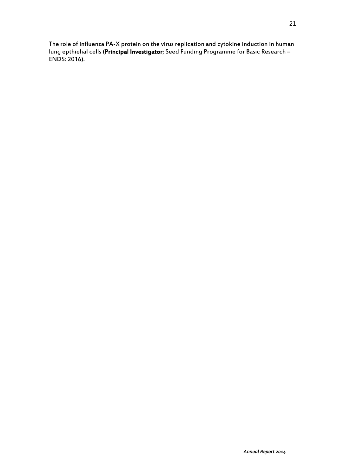[The role of influenza PA-X protein on the virus replication and cytokine induction in human](http://rcgas.hku.hk/Project/PrjDetail.aspx?prj_code=111121)  [lung epthielial cells](http://rcgas.hku.hk/Project/PrjDetail.aspx?prj_code=111121) (Principal Investigator; Seed Funding Programme for Basic Research – ENDS: 2016).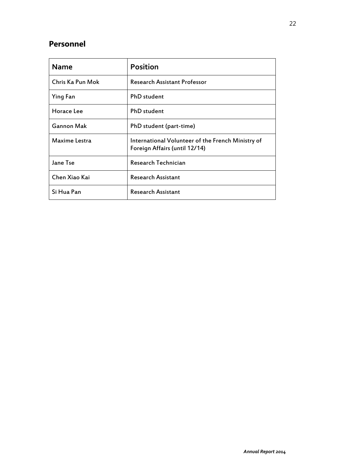# **Personnel**

| <b>Name</b>      | <b>Position</b>                                                                    |
|------------------|------------------------------------------------------------------------------------|
| Chris Ka Pun Mok | <b>Research Assistant Professor</b>                                                |
| Ying Fan         | <b>PhD</b> student                                                                 |
| Horace Lee       | <b>PhD</b> student                                                                 |
| Gannon Mak       | PhD student (part-time)                                                            |
| Maxime Lestra    | International Volunteer of the French Ministry of<br>Foreign Affairs (until 12/14) |
| Jane Tse         | Research Technician                                                                |
| Chen Xiao Kai    | <b>Research Assistant</b>                                                          |
| Si Hua Pan       | <b>Research Assistant</b>                                                          |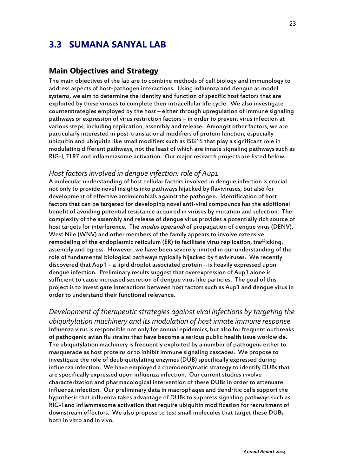# **3.3 SUMANA SANYAL LAB**

#### **Main Objectives and Strategy**

The main objectives of the lab are to combine methods of cell biology and immunology to address aspects of host-pathogen interactions. Using influenza and dengue as model systems, we aim to determine the identity and function of specific host factors that are exploited by these viruses to complete their intracellular life cycle. We also investigate counterstrategies employed by the host – either through upregulation of immune signaling pathways or expression of virus restriction factors – in order to prevent virus infection at various steps, including replication, assembly and release. Amongst other factors, we are particularly interested in post-translational modifiers of protein function, especially ubiquitin and ubiquitin like small modifiers such as ISG15 that play a significant role in modulating different pathways, not the least of which are innate signaling pathways such as RIG-I, TLR7 and inflammasome activation. Our major research projects are listed below.

#### *Host factors involved in dengue infection: role of Aup1*

A molecular understanding of host cellular factors involved in dengue infection is crucial not only to provide novel insights into pathways hijacked by flaviviruses, but also for development of effective antimicrobials against the pathogen. Identification of host factors that can be targeted for developing novel anti-viral compounds has the additional benefit of avoiding potential resistance acquired in viruses by mutation and selection. The complexity of the assembly and release of dengue virus provides a potentially rich source of host targets for interference. The *modus operandi* of propagation of dengue virus (DENV), West Nile (WNV) and other members of the family appears to involve extensive remodeling of the endoplasmic reticulum (ER) to facilitate virus replication, trafficking, assembly and egress. However, we have been severely limited in our understanding of the role of fundamental biological pathways typically hijacked by flaviviruses. We recently discovered that Aup1 – a lipid droplet associated protein – is heavily expressed upon dengue infection. Preliminary results suggest that overexpression of Aup1 alone is sufficient to cause increased secretion of dengue virus like particles. The goal of this project is to investigate interactions between host factors such as Aup1 and dengue virus in order to understand their functional relevance.

*Development of therapeutic strategies against viral infections by targeting the ubiquitylation machinery and its modulation of host innate immune response* Influenza virus is responsible not only for annual epidemics, but also for frequent outbreaks of pathogenic avian flu strains that have become a serious public health issue worldwide. The ubiquitylation machinery is frequently exploited by a number of pathogens either to masquerade as host proteins or to inhibit immune signaling cascades. We propose to investigate the role of deubiquitylating enzymes (DUB) specifically expressed during influenza infection. We have employed a chemoenzymatic strategy to identify DUBs that are specifically expressed upon influenza infection. Our current studies involve characterization and pharmacological intervention of these DUBs in order to attenuate influenza infection. Our preliminary data in macrophages and dendritic cells support the hypothesis that influenza takes advantage of DUBs to suppress signaling pathways such as RIG-I and inflammasome activation that require ubiquitin modification for recruitment of downstream effectors. We also propose to test small molecules that target these DUBs both in vitro and in vivo.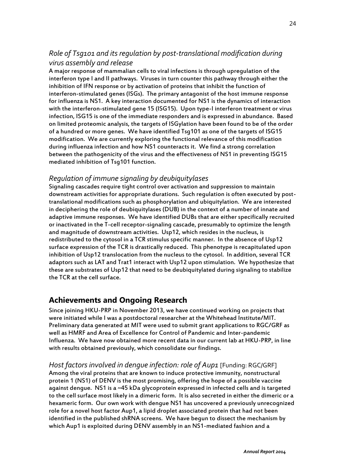### *Role of Tsg101 and its regulation by post-translational modification during virus assembly and release*

A major response of mammalian cells to viral infections is through upregulation of the interferon type I and II pathways. Viruses in turn counter this pathway through either the inhibition of IFN response or by activation of proteins that inhibit the function of interferon-stimulated genes (ISGs). The primary antagonist of the host immune response for influenza is NS1. A key interaction documented for NS1 is the dynamics of interaction with the interferon-stimulated gene 15 (ISG15). Upon type-I interferon treatment or virus infection, ISG15 is one of the immediate responders and is expressed in abundance. Based on limited proteomic analysis, the targets of ISGylation have been found to be of the order of a hundred or more genes. We have identified Tsg101 as one of the targets of ISG15 modification. We are currently exploring the functional relevance of this modification during influenza infection and how NS1 counteracts it. We find a strong correlation between the pathogenicity of the virus and the effectiveness of NS1 in preventing ISG15 mediated inhibition of Tsg101 function.

#### *Regulation of immune signaling by deubiquitylases*

Signaling cascades require tight control over activation and suppression to maintain downstream activities for appropriate durations. Such regulation is often executed by posttranslational modifications such as phosphorylation and ubiquitylation. We are interested in deciphering the role of deubiquitylases (DUB) in the context of a number of innate and adaptive immune responses. We have identified DUBs that are either specifically recruited or inactivated in the T-cell receptor-signaling cascade, presumably to optimize the length and magnitude of downstream activities. Usp12, which resides in the nucleus, is redistributed to the cytosol in a TCR stimulus specific manner. In the absence of Usp12 surface expression of the TCR is drastically reduced. This phenotype is recapitulated upon inhibition of Usp12 translocation from the nucleus to the cytosol. In addition, several TCR adaptors such as LAT and Trat1 interact with Usp12 upon stimulation. We hypothesize that these are substrates of Usp12 that need to be deubiquitylated during signaling to stabilize the TCR at the cell surface.

## **Achievements and Ongoing Research**

Since joining HKU-PRP in November 2013, we have continued working on projects that were initiated while I was a postdoctoral researcher at the Whitehead Institute/MIT. Preliminary data generated at MIT were used to submit grant applications to RGC/GRF as well as HMRF and Area of Excellence for Control of Pandemic and Inter-pandemic Influenza. We have now obtained more recent data in our current lab at HKU-PRP, in line with results obtained previously, which consolidate our findings.

#### *Host factors involved in dengue infection: role of Aup1* [Funding: RGC/GRF]

Among the viral proteins that are known to induce protective immunity, nonstructural protein 1 (NS1) of DENV is the most promising, offering the hope of a possible vaccine against dengue. NS1 is a ~45 kDa glycoprotein expressed in infected cells and is targeted to the cell surface most likely in a dimeric form. It is also secreted in either the dimeric or a hexameric form. Our own work with dengue NS1 has uncovered a previously unrecognized role for a novel host factor Aup1, a lipid droplet associated protein that had not been identified in the published shRNA screens. We have begun to dissect the mechanism by which Aup1 is exploited during DENV assembly in an NS1-mediated fashion and a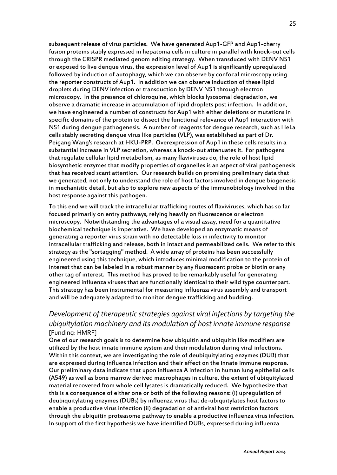subsequent release of virus particles. We have generated Aup1-GFP and Aup1-cherry fusion proteins stably expressed in hepatoma cells in culture in parallel with knock-out cells through the CRISPR mediated genom editing strategy. When transduced with DENV NS1 or exposed to live dengue virus, the expression level of Aup1 is significantly upregulated followed by induction of autophagy, which we can observe by confocal microscopy using the reporter constructs of Aup1. In addition we can observe induction of these lipid droplets during DENV infection or transduction by DENV NS1 through electron microscopy. In the presence of chloroquine, which blocks lysosomal degradation, we observe a dramatic increase in accumulation of lipid droplets post infection. In addition, we have engineered a number of constructs for Aup1 with either deletions or mutations in specific domains of the protein to dissect the functional relevance of Aup1 interaction with NS1 during dengue pathogenesis. A number of reagents for dengue research, such as HeLa cells stably secreting dengue virus like particles (VLP), was established as part of Dr. Peigang Wang's research at HKU-PRP. Overexpression of Aup1 in these cells results in a substantial increase in VLP secretion, whereas a knock-out attenuates it. For pathogens that regulate cellular lipid metabolism, as many flaviviruses do, the role of host lipid biosynthetic enzymes that modify properties of organelles is an aspect of viral pathogenesis that has received scant attention. Our research builds on promising preliminary data that we generated, not only to understand the role of host factors involved in dengue biogenesis in mechanistic detail, but also to explore new aspects of the immunobiology involved in the host response against this pathogen.

To this end we will track the intracellular trafficking routes of flaviviruses, which has so far focused primarily on entry pathways, relying heavily on fluorescence or electron microscopy. Notwithstanding the advantages of a visual assay, need for a quantitative biochemical technique is imperative. We have developed an enzymatic means of generating a reporter virus strain with no detectable loss in infectivity to monitor intracellular trafficking and release, both in intact and permeabilized cells. We refer to this strategy as the "sortagging" method. A wide array of proteins has been successfully engineered using this technique, which introduces minimal modification to the protein of interest that can be labeled in a robust manner by any fluorescent probe or biotin or any other tag of interest. This method has proved to be remarkably useful for generating engineered influenza viruses that are functionally identical to their wild type counterpart. This strategy has been instrumental for measuring influenza virus assembly and transport and will be adequately adapted to monitor dengue trafficking and budding.

#### *Development of therapeutic strategies against viral infections by targeting the ubiquitylation machinery and its modulation of host innate immune response*  [Funding: HMRF]

One of our research goals is to determine how ubiquitin and ubiquitin like modifiers are utilized by the host innate immune system and their modulation during viral infections. Within this context, we are investigating the role of deubiquitylating enzymes (DUB) that are expressed during influenza infection and their effect on the innate immune response. Our preliminary data indicate that upon influenza A infection in human lung epithelial cells (A549) as well as bone marrow derived macrophages in culture, the extent of ubiquitylated material recovered from whole cell lysates is dramatically reduced. We hypothesize that this is a consequence of either one or both of the following reasons: (i) upregulation of deubiquitylating enzymes (DUBs) by influenza virus that de-ubiquitylates host factors to enable a productive virus infection (ii) degradation of antiviral host restriction factors through the ubiquitin proteasome pathway to enable a productive influenza virus infection. In support of the first hypothesis we have identified DUBs, expressed during influenza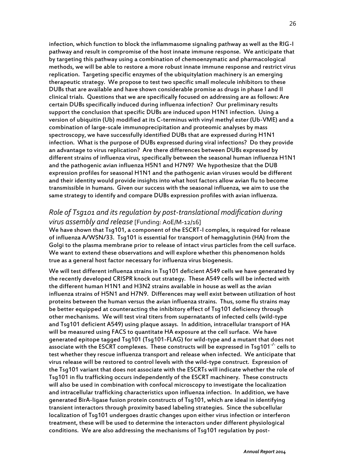infection, which function to block the inflammasome signaling pathway as well as the RIG-I pathway and result in compromise of the host innate immune response. We anticipate that by targeting this pathway using a combination of chemoenzymatic and pharmacological methods, we will be able to restore a more robust innate immune response and restrict virus replication. Targeting specific enzymes of the ubiquitylation machinery is an emerging therapeutic strategy. We propose to test two specific small molecule inhibitors to these DUBs that are available and have shown considerable promise as drugs in phase I and II clinical trials. Questions that we are specifically focused on addressing are as follows: Are certain DUBs specifically induced during influenza infection? Our preliminary results support the conclusion that specific DUBs are induced upon H1N1 infection. Using a version of ubiquitin (Ub) modified at its C-terminus with vinyl methyl ester (Ub-VME) and a combination of large-scale immunoprecipitation and proteomic analyses by mass spectroscopy, we have successfully identified DUBs that are expressed during H1N1 infection. What is the purpose of DUBs expressed during viral infections? Do they provide an advantage to virus replication? Are there differences between DUBs expressed by different strains of influenza virus, specifically between the seasonal human influenza H1N1 and the pathogenic avian influenza H5N1 and H7N9? We hypothesize that the DUB expression profiles for seasonal H1N1 and the pathogenic avian viruses would be different and their identity would provide insights into what host factors allow avian flu to become transmissible in humans. Given our success with the seasonal influenza, we aim to use the same strategy to identify and compare DUBs expression profiles with avian influenza.

#### *Role of Tsg101 and its regulation by post-translational modification during virus assembly and release* [Funding: AoE/M-12/16]

We have shown that Tsg101, a component of the ESCRT-I complex, is required for release of influenza A/WSN/33. Tsg101 is essential for transport of hemagglutinin (HA) from the Golgi to the plasma membrane prior to release of intact virus particles from the cell surface. We want to extend these observations and will explore whether this phenomenon holds true as a general host factor necessary for influenza virus biogenesis.

We will test different influenza strains in Tsg101 deficient A549 cells we have generated by the recently developed CRISPR knock out strategy. These A549 cells will be infected with the different human H1N1 and H3N2 strains available in house as well as the avian influenza strains of H5N1 and H7N9. Differences may well exist between utilization of host proteins between the human versus the avian influenza strains. Thus, some flu strains may be better equipped at counteracting the inhibitory effect of Tsg101 deficiency through other mechanisms. We will test viral titers from supernatants of infected cells (wild-type and Tsg101 deficient A549) using plaque assays. In addition, intracellular transport of HA will be measured using FACS to quantitate HA exposure at the cell surface. We have generated epitope tagged Tsg101 (Tsg101-FLAG) for wild-type and a mutant that does not associate with the ESCRT complexes. These constructs will be expressed in Tsg101<sup>-/-</sup> cells to test whether they rescue influenza transport and release when infected. We anticipate that virus release will be restored to control levels with the wild-type construct. Expression of the Tsg101 variant that does not associate with the ESCRTs will indicate whether the role of Tsg101 in flu trafficking occurs independently of the ESCRT machinery. These constructs will also be used in combination with confocal microscopy to investigate the localization and intracellular trafficking characteristics upon influenza infection. In addition, we have generated BirA-ligase fusion protein constructs of Tsg101, which are ideal in identifying transient interactors through proximity based labeling strategies. Since the subcellular localization of Tsg101 undergoes drastic changes upon either virus infection or interferon treatment, these will be used to determine the interactors under different physiological conditions. We are also addressing the mechanisms of Tsg101 regulation by post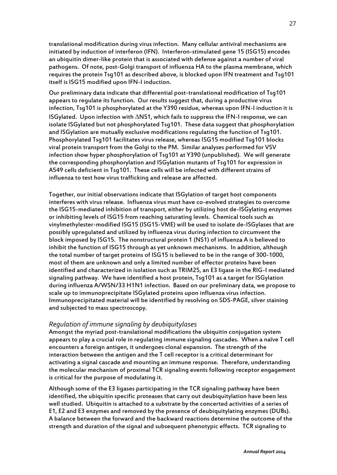translational modification during virus infection. Many cellular antiviral mechanisms are initiated by induction of interferon (IFN). Interferon-stimulated gene 15 (ISG15) encodes an ubiquitin dimer-like protein that is associated with defense against a number of viral pathogens. Of note, post-Golgi transport of influenza HA to the plasma membrane, which requires the protein Tsg101 as described above, is blocked upon IFN treatment and Tsg101 itself is ISG15 modified upon IFN-I induction.

Our preliminary data indicate that differential post-translational modification of Tsg101 appears to regulate its function. Our results suggest that, during a productive virus infection, Tsg101 is phosphorylated at the Y390 residue, whereas upon IFN-I induction it is ISGylated. Upon infection with  $\Delta$ NS1, which fails to suppress the IFN-I response, we can isolate ISGylated but not phosphorylated Tsg101. These data suggest that phosphorylation and ISGylation are mutually exclusive modifications regulating the function of Tsg101. Phosphorylated Tsg101 facilitates virus release, whereas ISG15 modified Tsg101 blocks viral protein transport from the Golgi to the PM. Similar analyses performed for VSV infection show hyper phosphorylation of Tsg101 at Y390 (unpublished). We will generate the corresponding phosphorylation and ISGylation mutants of Tsg101 for expression in A549 cells deficient in Tsg101. These cells will be infected with different strains of influenza to test how virus trafficking and release are affected.

Together, our initial observations indicate that ISGylation of target host components interferes with virus release. Influenza virus must have co-evolved strategies to overcome the ISG15-mediated inhibition of transport, either by utilizing host de-ISGylating enzymes or inhibiting levels of ISG15 from reaching saturating levels. Chemical tools such as vinylmethylester-modified ISG15 (ISG15-VME) will be used to isolate de-ISGylases that are possibly upregulated and utilized by influenza virus during infection to circumvent the block imposed by ISG15. The nonstructural protein 1 (NS1) of influenza A is believed to inhibit the function of ISG15 through as yet unknown mechanisms. In addition, although the total number of target proteins of ISG15 is believed to be in the range of 300-1000, most of them are unknown and only a limited number of effector proteins have been identified and characterized in isolation such as TRIM25, an E3 ligase in the RIG-I mediated signaling pathway. We have identified a host protein, Tsg101 as a target for ISGylation during influenza A/WSN/33 H1N1 infection. Based on our preliminary data, we propose to scale up to immunoprecipitate ISGylated proteins upon influenza virus infection. Immunoprecipitated material will be identified by resolving on SDS-PAGE, silver staining and subjected to mass spectroscopy.

#### *Regulation of immune signaling by deubiquitylases*

Amongst the myriad post-translational modifications the ubiquitin conjugation system appears to play a crucial role in regulating immune signaling cascades. When a naïve T cell encounters a foreign antigen, it undergoes clonal expansion. The strength of the interaction between the antigen and the T cell receptor is a critical determinant for activating a signal cascade and mounting an immune response. Therefore, understanding the molecular mechanism of proximal TCR signaling events following receptor engagement is critical for the purpose of modulating it.

Although some of the E3 ligases participating in the TCR signaling pathway have been identified, the ubiquitin specific proteases that carry out deubiquitylation have been less well studied. Ubiquitin is attached to a substrate by the concerted activities of a series of E1, E2 and E3 enzymes and removed by the presence of deubiquitylating enzymes (DUBs). A balance between the forward and the backward reactions determine the outcome of the strength and duration of the signal and subsequent phenotypic effects. TCR signaling to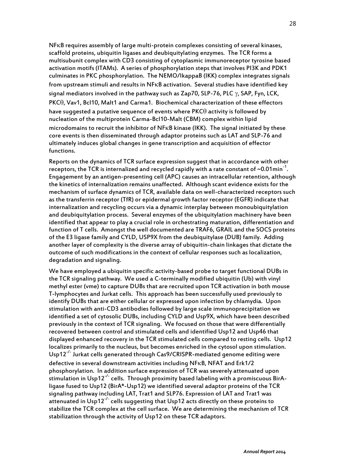NFKB requires assembly of large multi-protein complexes consisting of several kinases, scaffold proteins, ubiquitin ligases and deubiquitylating enzymes. The TCR forms a multisubunit complex with CD3 consisting of cytoplasmic immunoreceptor tyrosine based activation motifs (ITAMs). A series of phosphorylation steps that involves PI3K and PDK1 culminates in PKC phosphorylation. The NEMO/IkappaB (IKK) complex integrates signals from upstream stimuli and results in NFKB activation. Several studies have identified key signal mediators involved in the pathway such as  $\mathsf{Zap70}, \mathsf{SLP-76}, \mathsf{PLC} \gamma, \mathsf{SAP}, \mathsf{Fyn}, \mathsf{LCK},$  $PKC\theta$ , Vav1, Bcl10, Malt1 and Carma1. Biochemical characterization of these effectors have suggested a putative sequence of events where  $PKC\theta$  activity is followed by nucleation of the multiprotein Carma-Bcl10-Malt (CBM) complex within lipid microdomains to recruit the inhibitor of NFKB kinase (IKK). The signal initiated by these core events is then disseminated through adaptor proteins such as LAT and SLP-76 and ultimately induces global changes in gene transcription and acquisition of effector functions.

Reports on the dynamics of TCR surface expression suggest that in accordance with other receptors, the TCR is internalized and recycled rapidly with a rate constant of ~0.01min $^{\text{-}1}$ . Engagement by an antigen-presenting cell (APC) causes an intracellular retention, although the kinetics of internalization remains unaffected. Although scant evidence exists for the mechanism of surface dynamics of TCR, available data on well-characterized receptors such as the transferrin receptor (TfR) or epidermal growth factor receptor (EGFR) indicate that internalization and recycling occurs via a dynamic interplay between monoubiquitylation and deubiquitylation process. Several enzymes of the ubiquitylation machinery have been identified that appear to play a crucial role in orchestrating maturation, differentiation and function of T cells. Amongst the well documented are TRAF6, GRAIL and the SOCS proteins of the E3 ligase family and CYLD, USP9X from the deubiquitylase (DUB) family. Adding another layer of complexity is the diverse array of ubiquitin-chain linkages that dictate the outcome of such modifications in the context of cellular responses such as localization, degradation and signaling.

We have employed a ubiquitin specific activity-based probe to target functional DUBs in the TCR signaling pathway. We used a C-terminally modified ubiquitin (Ub) with vinyl methyl ester (vme) to capture DUBs that are recruited upon TCR activation in both mouse T-lymphocytes and Jurkat cells. This approach has been successfully used previously to identify DUBs that are either cellular or expressed upon infection by chlamydia. Upon stimulation with anti-CD3 antibodies followed by large scale immunoprecipitation we identified a set of cytosolic DUBs, including CYLD and Usp9X, which have been described previously in the context of TCR signaling. We focused on those that were differentially recovered between control and stimulated cells and identified Usp12 and Usp46 that displayed enhanced recovery in the TCR stimulated cells compared to resting cells. Usp12 localizes primarily to the nucleus, but becomes enriched in the cytosol upon stimulation. Usp12<sup>-/-</sup> Jurkat cells generated through Cas9/CRISPR-mediated genome editing were defective in several downstream activities including NFKB, NFAT and Erk1/2 phosphorylation. In addition surface expression of TCR was severely attenuated upon .<br>stimulation in Usp12<sup>-/-</sup> cells. Through proximity based labeling with a promiscuous BirAligase fused to Usp12 (BirA\*-Usp12) we identified several adaptor proteins of the TCR signaling pathway including LAT, Trat1 and SLP76. Expression of LAT and Trat1 was attenuated in Usp12<sup>-/-</sup> cells suggesting that Usp12 acts directly on these proteins to stabilize the TCR complex at the cell surface. We are determining the mechanism of TCR stabilization through the activity of Usp12 on these TCR adaptors.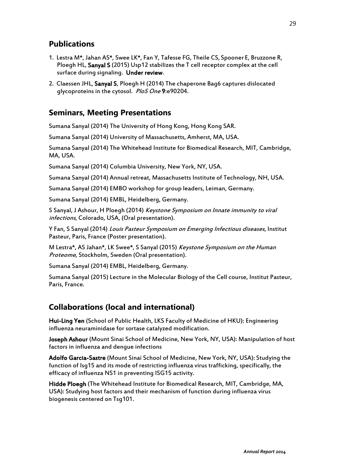## **Publications**

- 1. Lestra M\*, Jahan AS\*, Swee LK\*, Fan Y, Tafesse FG, Theile CS, Spooner E, Bruzzone R, Ploegh HL, Sanyal S (2015) Usp12 stabilizes the T cell receptor complex at the cell surface during signaling. Under review.
- 2. Claessen JHL, Sanyal S, Ploegh H (2014) The chaperone Bag6 captures dislocated glycoproteins in the cytosol. PloS One 9:e90204.

#### **Seminars, Meeting Presentations**

Sumana Sanyal (2014) The University of Hong Kong, Hong Kong SAR.

Sumana Sanyal (2014) University of Massachusetts, Amherst, MA, USA.

Sumana Sanyal (2014) The Whitehead Institute for Biomedical Research, MIT, Cambridge, MA, USA.

Sumana Sanyal (2014) Columbia University, New York, NY, USA.

Sumana Sanyal (2014) Annual retreat, Massachusetts Institute of Technology, NH, USA.

Sumana Sanyal (2014) EMBO workshop for group leaders, Leiman, Germany.

Sumana Sanyal (2014) EMBL, Heidelberg, Germany.

S Sanyal, J Ashour, H Ploegh (2014) Keystone Symposium on Innate immunity to viral infections, Colorado, USA, (Oral presentation).

Y Fan, S Sanyal (2014) Louis Pasteur Symposium on Emerging Infectious diseases, Institut Pasteur, Paris, France (Poster presentation).

M Lestra\*, AS Jahan\*, LK Swee\*, S Sanyal (2015) Keystone Symposium on the Human Proteome, Stockholm, Sweden (Oral presentation).

Sumana Sanyal (2014) EMBL, Heidelberg, Germany.

Sumana Sanyal (2015) Lecture in the Molecular Biology of the Cell course, Institut Pasteur, Paris, France.

#### **Collaborations (local and international)**

Hui-Ling Yen (School of Public Health, LKS Faculty of Medicine of HKU): Engineering influenza neuraminidase for sortase catalyzed modification.

Joseph Ashour (Mount Sinai School of Medicine, New York, NY, USA): Manipulation of host factors in influenza and dengue infections

Adolfo Garcia-Sastre (Mount Sinai School of Medicine, New York, NY, USA): Studying the function of Isg15 and its mode of restricting influenza virus trafficking, specifically, the efficacy of influenza NS1 in preventing ISG15 activity.

Hidde Ploegh (The Whitehead Institute for Biomedical Research, MIT, Cambridge, MA, USA): Studying host factors and their mechanism of function during influenza virus biogenesis centered on Tsg101.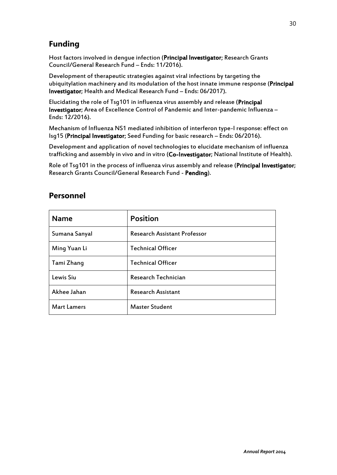# **Funding**

Host factors involved in dengue infection (Principal Investigator; Research Grants Council/General Research Fund – Ends: 11/2016).

Development of therapeutic strategies against viral infections by targeting the ubiquitylation machinery and its modulation of the host innate immune response (Principal Investigator; Health and Medical Research Fund – Ends: 06/2017).

Elucidating the role of Tsg101 in influenza virus assembly and release (Principal Investigator; Area of Excellence Control of Pandemic and Inter-pandemic Influenza – Ends: 12/2016).

Mechanism of Influenza NS1 mediated inhibition of interferon type-I response: effect on Isg15 (Principal Investigator; Seed Funding for basic research – Ends: 06/2016).

Development and application of novel technologies to elucidate mechanism of influenza trafficking and assembly in vivo and in vitro (Co-Investigator; National Institute of Health).

Role of Tsg101 in the process of influenza virus assembly and release (Principal Investigator; Research Grants Council/General Research Fund - Pending).

# **Personnel**

| <b>Name</b>        | <b>Position</b>                     |
|--------------------|-------------------------------------|
| Sumana Sanyal      | <b>Research Assistant Professor</b> |
| Ming Yuan Li       | <b>Technical Officer</b>            |
| Tami Zhang         | <b>Technical Officer</b>            |
| Lewis Siu          | Research Technician                 |
| Akhee Jahan        | <b>Research Assistant</b>           |
| <b>Mart Lamers</b> | <b>Master Student</b>               |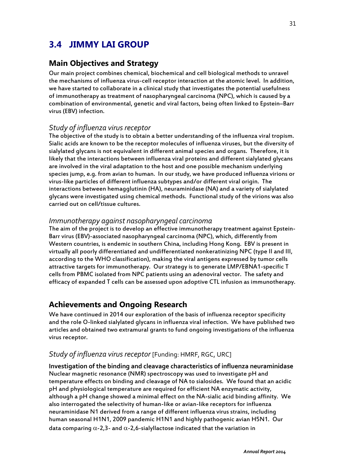# **3.4 JIMMY LAI GROUP**

#### **Main Objectives and Strategy**

Our main project combines chemical, biochemical and cell biological methods to unravel the mechanisms of influenza virus-cell receptor interaction at the atomic level. In addition, we have started to collaborate in a clinical study that investigates the potential usefulness of immunotherapy as treatment of nasopharyngeal carcinoma (NPC), which is caused by a combination of environmental, genetic and viral factors, being often linked to Epstein–Barr virus (EBV) infection.

#### *Study of influenza virus receptor*

The objective of the study is to obtain a better understanding of the influenza viral tropism. Sialic acids are known to be the receptor molecules of influenza viruses, but the diversity of sialylated glycans is not equivalent in different animal species and organs. Therefore, it is likely that the interactions between influenza viral proteins and different sialylated glycans are involved in the viral adaptation to the host and one possible mechanism underlying species jump, e.g. from avian to human. In our study, we have produced influenza virions or virus-like particles of different influenza subtypes and/or different viral origin. The interactions between hemagglutinin (HA), neuraminidase (NA) and a variety of sialylated glycans were investigated using chemical methods. Functional study of the virions was also carried out on cell/tissue cultures.

#### *Immunotherapy against nasopharyngeal carcinoma*

The aim of the project is to develop an effective immunotherapy treatment against Epstein-Barr virus (EBV)-associated nasopharyngeal carcinoma (NPC), which, differently from Western countries, is endemic in southern China, including Hong Kong. EBV is present in virtually all poorly differentiated and undifferentiated nonkeratinizing NPC (type II and III, according to the WHO classification), making the viral antigens expressed by tumor cells attractive targets for immunotherapy. Our strategy is to generate LMP/EBNA1-specific T cells from PBMC isolated from NPC patients using an adenoviral vector. The safety and efficacy of expanded T cells can be assessed upon adoptive CTL infusion as immunotherapy.

#### **Achievements and Ongoing Research**

We have continued in 2014 our exploration of the basis of influenza receptor specificity and the role O-linked sialylated glycans in influenza viral infection. We have published two articles and obtained two extramural grants to fund ongoing investigations of the influenza virus receptor.

#### *Study of influenza virus receptor* [Funding: HMRF, RGC, URC]

**Investigation of the binding and cleavage characteristics of influenza neuraminidase** Nuclear magnetic resonance (NMR) spectroscopy was used to investigate pH and temperature effects on binding and cleavage of NA to sialosides. We found that an acidic pH and physiological temperature are required for efficient NA enzymatic activity, although a pH change showed a minimal effect on the NA-sialic acid binding affinity. We also interrogated the selectivity of human-like or avian-like receptors for influenza neuraminidase N1 derived from a range of different influenza virus strains, including human seasonal H1N1, 2009 pandemic H1N1 and highly pathogenic avian H5N1. Our data comparing  $\alpha$ -2,3- and  $\alpha$ -2,6-sialyllactose indicated that the variation in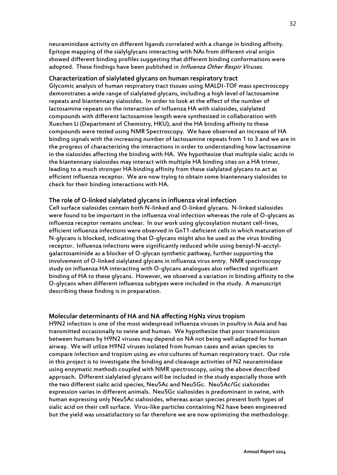neuraminidase activity on different ligands correlated with a change in binding affinity. Epitope mapping of the sialylglycans interacting with NAs from different viral origin showed different binding profiles suggesting that different binding conformations were adopted. These findings have been published in *Influenza Other Respir Viruses*.

#### **Characterization of sialylated glycans on human respiratory tract**

Glycomic analysis of human respiratory tract tissues using MALDI-TOF mass spectroscopy demonstrates a wide range of sialylated glycans, including a high level of lactosamine repeats and biantennary sialosides. In order to look at the effect of the number of lactosamine repeats on the interaction of influenza HA with sialosides, sialylated compounds with different lactosamine length were synthesized in collaboration with Xuechen Li (Department of Chemistry, HKU), and the HA binding affinity to these compounds were tested using NMR Spectroscopy. We have observed an increase of HA binding signals with the increasing number of lactosamine repeats from 1 to 3 and we are in the progress of characterizing the interactions in order to understanding how lactosamine in the sialosides affecting the binding with HA. We hypothesize that multiple sialic acids in the biantennary sialosides may interact with multiple HA binding sites on a HA trimer, leading to a much stronger HA binding affinity from these sialylated glycans to act as efficient influenza receptor. We are now trying to obtain some biantennary sialosides to check for their binding interactions with HA.

#### **The role of O-linked sialylated glycans in influenza viral infection**

Cell surface sialosides contain both N-linked and O-linked glycans. N-linked sialosides were found to be important in the influenza viral infection whereas the role of O-glycans as influenza receptor remains unclear. In our work using glycosylation mutant cell-lines, efficient influenza infections were observed in GnT1-deficient cells in which maturation of N-glycans is blocked, indicating that O-glycans might also be used as the virus binding receptor. Influenza infections were significantly reduced while using benzyl-N-acctylgalactosaminide as a blocker of O-glycan synthetic pathway, further supporting the involvement of O-linked sialylated glycans in influenza virus entry. NMR spectroscopy study on influenza HA interacting with O-glycans analogues also reflected significant binding of HA to these glycans. However, we observed a variation in binding affinity to the O-glycans when different influenza subtypes were included in the study. A manuscript describing these finding is in preparation.

#### **Molecular determinants of HA and NA affecting H9N2 virus tropism**

H9N2 infection is one of the most widespread influenza viruses in poultry in Asia and has transmitted occasionally to swine and human. We hypothesize that poor transmission between humans by H9N2 viruses may depend on NA not being well adapted for human airway. We will utlize H9N2 viruses isolated from human cases and avian species to compare infection and tropism using ex vivo cultures of human respiratory tract. Our role in this project is to investigate the binding and cleavage activities of N2 neuraminidase using enzymatic methods coupled with NMR spectroscopy, using the above described approach. Different sialylated glycans will be included in the study especially those with the two different sialic acid species, Neu5Ac and Neu5Gc. Neu5Ac/Gc sialiosides expression varies in different animals. Neu5Gc sialiosides is predominant in swine, with human expressing only Neu5Ac sialiosides, whereas avian species present both types of sialic acid on their cell surface. Virus-like particles containing N2 have been engineered but the yield was unsatisfactory so far therefore we are now optimizing the methodology.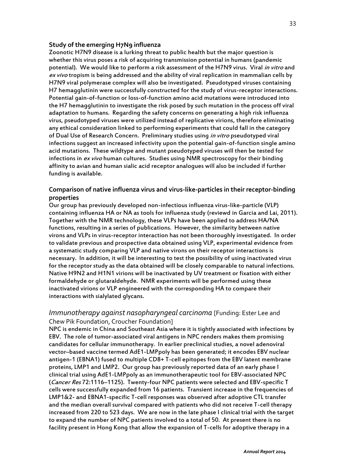#### **Study of the emerging H7N9 influenza**

Zoonotic H7N9 disease is a lurking threat to public health but the major question is whether this virus poses a risk of acquiring transmission potential in humans (pandemic potential). We would like to perform a risk assessment of the H7N9 virus. Viral in vitro and ex vivo tropism is being addressed and the ability of viral replication in mammalian cells by H7N9 viral polymerase complex will also be investigated. Pseudotyped viruses containing H7 hemagglutinin were successfully constructed for the study of virus-receptor interactions. Potential gain-of-function or loss-of-function amino acid mutations were introduced into the H7 hemagglutinin to investigate the risk posed by such mutation in the process off viral adaptation to humans. Regarding the safety concerns on generating a high risk influenza virus, pseudotyped viruses were utilized instead of replicative virions, therefore eliminating any ethical consideration linked to performing experiments that could fall in the category of Dual Use of Research Concern. Preliminary studies using in vitro pseudotyped viral infections suggest an increased infectivity upon the potential gain-of-function single amino acid mutations. These wildtype and mutant pseudotyped viruses will then be tested for infections in ex vivo human cultures. Studies using NMR spectroscopy for their binding affinity to avian and human sialic acid receptor analogues will also be included if further funding is available.

#### **Comparison of native influenza virus and virus-like-particles in their receptor-binding properties**

Our group has previously developed non-infectious influenza virus-like-particle (VLP) containing influenza HA or NA as tools for influenza study (reviewd in Garcia and Lai, 2011). Together with the NMR technology, these VLPs have been applied to address HA/NA functions, resulting in a series of publications. However, the similarity between native virons and VLPs in virus-receptor interaction has not been thoroughly investigated. In order to validate previous and prospective data obtained using VLP, experimental evidence from a systematic study comparing VLP and native virons on their receptor interactions is necessary. In addition, it will be interesting to test the possibility of using inactivated virus for the receptor study as the data obtained will be closely comparable to natural infections. Native H9N2 and H1N1 virions will be inactivated by UV treatment or fixation with either formaldehyde or glutaraldehyde. NMR experiments will be performed using these inactivated virions or VLP engineered with the corresponding HA to compare their interactions with sialylated glycans.

#### *Immunotherapy against nasopharyngeal carcinoma* [Funding: Ester Lee and Chew Pik Foundation, Croucher Foundation]

NPC is endemic in China and Southeast Asia where it is tightly associated with infections by EBV. The role of tumor-associated viral antigens in NPC renders makes them promising candidates for cellular immunotherapy. In earlier preclinical studies, a novel adenoviral vector–based vaccine termed AdE1-LMPpoly has been generated; it encodes EBV nuclear antigen-1 (EBNA1) fused to multiple CD8+ T-cell epitopes from the EBV latent membrane proteins, LMP1 and LMP2. Our group has previously reported data of an early phase I clinical trial using AdE1-LMPpoly as an immunotherapeutic tool for EBV-associated NPC (Cancer Res 72:1116–1125). Twenty-four NPC patients were selected and EBV-specific T cells were successfully expanded from 16 patients. Transient increase in the frequencies of LMP1&2- and EBNA1-specific T-cell responses was observed after adoptive CTL transfer and the median overall survival compared with patients who did not receive T-cell therapy increased from 220 to 523 days. We are now in the late phase I clinical trial with the target to expand the number of NPC patients involved to a total of 50. At present there is no facility present in Hong Kong that allow the expansion of T-cells for adoptive therapy in a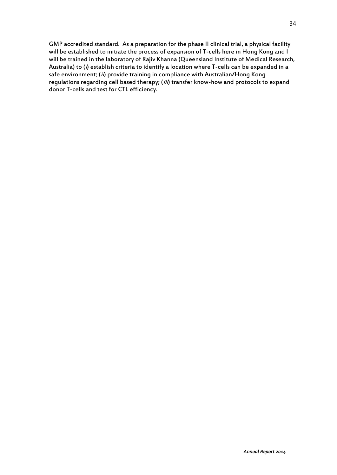GMP accredited standard. As a preparation for the phase II clinical trial, a physical facility will be established to initiate the process of expansion of T-cells here in Hong Kong and I will be trained in the laboratory of Rajiv Khanna (Queensland Institute of Medical Research, Australia) to (i) establish criteria to identify a location where T-cells can be expanded in a safe environment; (ii) provide training in compliance with Australian/Hong Kong regulations regarding cell based therapy; (iii) transfer know-how and protocols to expand donor T-cells and test for CTL efficiency.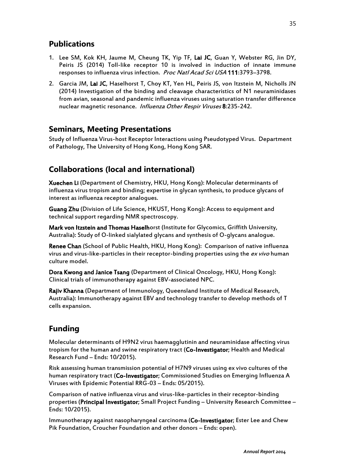## **Publications**

- 1. Lee SM, Kok KH, Jaume M, Cheung TK, Yip TF, Lai JC, Guan Y, Webster RG, Jin DY, Peiris JS (2014) Toll-like receptor 10 is involved in induction of innate immune responses to influenza virus infection. Proc Natl Acad Sci USA 111:3793-3798.
- 2. Garcia JM, Lai JC, Haselhorst T, Choy KT, Yen HL, Peiris JS, von Itzstein M, Nicholls JN (2014) Investigation of the binding and cleavage characteristics of N1 neuraminidases from avian, seasonal and pandemic influenza viruses using saturation transfer difference nuclear magnetic resonance. Influenza Other Respir Viruses 8:235-242.

#### **Seminars, Meeting Presentations**

Study of Influenza Virus-host Receptor Interactions using Pseudotyped Virus. Department of Pathology, The University of Hong Kong, Hong Kong SAR.

### **Collaborations (local and international)**

Xuechen Li (Department of Chemistry, HKU, Hong Kong): Molecular determinants of influenza virus tropism and binding; expertise in glycan synthesis, to produce glycans of interest as influenza receptor analogues.

Guang Zhu (Division of Life Science, HKUST, Hong Kong): Access to equipment and technical support regarding NMR spectroscopy.

Mark von Itzstein and Thomas Haselhorst (Institute for Glycomics, Griffith University, Australia): Study of O-linked sialylated glycans and synthesis of O-glycans analogue.

Renee Chan (School of Public Health, HKU, Hong Kong): Comparison of native influenza virus and virus-like-particles in their receptor-binding properties using the ex vivo human culture model.

Dora Kwong and Janice Tsang (Department of Clinical Oncology, HKU, Hong Kong): Clinical trials of immunotherapy against EBV-associated NPC.

Rajiv Khanna (Department of Immunology, Queensland Institute of Medical Research, Australia): Immunotherapy against EBV and technology transfer to develop methods of T cells expansion.

## **Funding**

Molecular determinants of H9N2 virus haemagglutinin and neuraminidase affecting virus tropism for the human and swine respiratory tract (Co-Investigator; Health and Medical Research Fund – Ends: 10/2015).

Risk assessing human transmission potential of H7N9 viruses using ex vivo cultures of the human respiratory tract (Co-Investigator; Commissioned Studies on Emerging Influenza A Viruses with Epidemic Potential RRG-03 – Ends: 05/2015).

Comparison of native influenza virus and virus-like-particles in their receptor-binding properties (Principal Investigator; Small Project Funding – University Research Committee – Ends: 10/2015).

Immunotherapy against nasopharyngeal carcinoma (Co-Investigator; Ester Lee and Chew Pik Foundation, Croucher Foundation and other donors – Ends: open).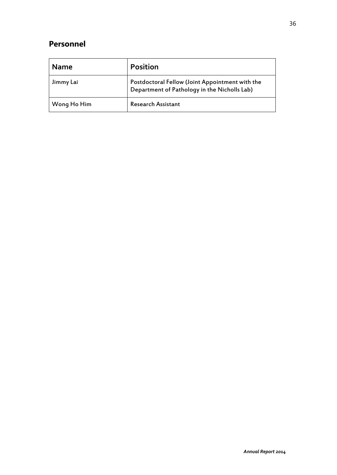# **Personnel**

| <b>Name</b> | Position                                                                                        |
|-------------|-------------------------------------------------------------------------------------------------|
| Jimmy Lai   | Postdoctoral Fellow (Joint Appointment with the<br>Department of Pathology in the Nicholls Lab) |
| Wong Ho Him | <b>Research Assistant</b>                                                                       |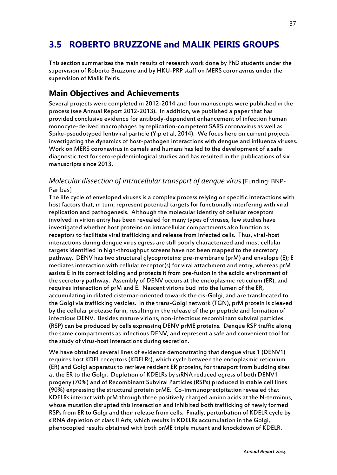# **3.5 ROBERTO BRUZZONE and MALIK PEIRIS GROUPS**

This section summarizes the main results of research work done by PhD students under the supervision of Roberto Bruzzone and by HKU-PRP staff on MERS coronavirus under the supervision of Malik Peiris.

### **Main Objectives and Achievements**

Several projects were completed in 2012-2014 and four manuscripts were published in the process (see Annual Report 2012-2013). In addition, we published a paper that has provided conclusive evidence for antibody-dependent enhancement of infection human monocyte-derived macrophages by replication-competent SARS coronavirus as well as Spike-pseudotyped lentiviral particle (Yip et al, 2014). We focus here on current projects investigating the dynamics of host-pathogen interactions with dengue and influenza viruses. Work on MERS coronavirus in camels and humans has led to the development of a safe diagnostic test for sero-epidemiological studies and has resulted in the publications of six manuscripts since 2013.

#### *Molecular dissection of intracellular transport of dengue virus* [Funding: BNP-Paribas]

The life cycle of enveloped viruses is a complex process relying on specific interactions with host factors that, in turn, represent potential targets for functionally interfering with viral replication and pathogenesis. Although the molecular identity of cellular receptors involved in virion entry has been revealed for many types of viruses, few studies have investigated whether host proteins on intracellular compartments also function as receptors to facilitate viral trafficking and release from infected cells. Thus, viral-host interactions during dengue virus egress are still poorly characterized and most cellular targets identified in high-throughput screens have not been mapped to the secretory pathway. DENV has two structural glycoproteins: pre-membrane (prM) and envelope (E); E mediates interaction with cellular receptor(s) for viral attachment and entry, whereas prM assists E in its correct folding and protects it from pre-fusion in the acidic environment of the secretory pathway. Assembly of DENV occurs at the endoplasmic reticulum (ER), and requires interaction of prM and E. Nascent virions bud into the lumen of the ER, accumulating in dilated cisternae oriented towards the cis-Golgi, and are translocated to the Golgi via trafficking vesicles. In the trans-Golgi network (TGN), prM protein is cleaved by the cellular protease furin, resulting in the release of the pr peptide and formation of infectious DENV. Besides mature virions, non-infectious recombinant subviral particles (RSP) can be produced by cells expressing DENV prME proteins. Dengue RSP traffic along the same compartments as infectious DENV, and represent a safe and convenient tool for the study of virus-host interactions during secretion.

We have obtained several lines of evidence demonstrating that dengue virus 1 (DENV1) requires host KDEL receptors (KDELRs), which cycle between the endoplasmic reticulum (ER) and Golgi apparatus to retrieve resident ER proteins, for transport from budding sites at the ER to the Golgi. Depletion of KDELRs by siRNA reduced egress of both DENV1 progeny (70%) and of Recombinant Subviral Particles (RSPs) produced in stable cell lines (90%) expressing the structural protein prME. Co-immunoprecipitation revealed that KDELRs interact with prM through three positively charged amino acids at the N-terminus, whose mutation disrupted this interaction and inhibited both trafficking of newly formed RSPs from ER to Golgi and their release from cells. Finally, perturbation of KDELR cycle by siRNA depletion of class II Arfs, which results in KDELRs accumulation in the Golgi, phenocopied results obtained with both prME triple mutant and knockdown of KDELR.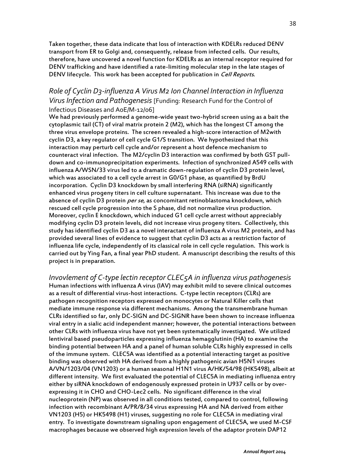Taken together, these data indicate that loss of interaction with KDELRs reduced DENV transport from ER to Golgi and, consequently, release from infected cells. Our results, therefore, have uncovered a novel function for KDELRs as an internal receptor required for DENV trafficking and have identified a rate-limiting molecular step in the late stages of DENV lifecycle. This work has been accepted for publication in *Cell Reports*.

#### *Role of Cyclin D3-influenza A Virus M2 Ion Channel Interaction in Influenza Virus Infection and Pathogenesis* [Funding: Research Fund for the Control of Infectious Diseases and AoE/M-12/06]

We had previously performed a genome-wide yeast two-hybrid screen using as a bait the cytoplasmic tail (CT) of viral matrix protein 2 (M2), which has the longest CT among the three virus envelope proteins. The screen revealed a high-score interaction of M2with cyclin D3, a key regulator of cell cycle G1/S transition. We hypothesized that this interaction may perturb cell cycle and/or represent a host defence mechanism to counteract viral infection. The M2/cyclin D3 interaction was confirmed by both GST pulldown and co-immunoprecipitation experiments. Infection of synchronized A549 cells with influenza A/WSN/33 virus led to a dramatic down-regulation of cyclin D3 protein level, which was associated to a cell cycle arrest in G0/G1 phase, as quantified by BrdU incorporation. Cyclin D3 knockdown by small interfering RNA (siRNA) significantly enhanced virus progeny titers in cell culture supernatant. This increase was due to the absence of cyclin D3 protein per se, as concomitant retinoblastoma knockdown, which rescued cell cycle progression into the S phase, did not normalize virus production. Moreover, cyclin E knockdown, which induced G1 cell cycle arrest without appreciably modifying cyclin D3 protein levels, did not increase virus progeny titers. Collectively, this study has identified cyclin D3 as a novel interactant of influenza A virus M2 protein, and has provided several lines of evidence to suggest that cyclin D3 acts as a restriction factor of influenza life cycle, independently of its classical role in cell cycle regulation. This work is carried out by Ying Fan, a final year PhD student. A manuscript describing the results of this project is in preparation.

*Invovlement of C-type lectin receptor CLEC5A in influenza virus pathogenesis* Human infections with influenza A virus (IAV) may exhibit mild to severe clinical outcomes as a result of differential virus-host interactions. C-type lectin receptors (CLRs) are pathogen recognition receptors expressed on monocytes or Natural Killer cells that mediate immune response via different mechanisms. Among the transmembrane human CLRs identified so far, only DC-SIGN and DC-SIGNR have been shown to increase influenza viral entry in a sialic acid independent manner; however, the potential interactions between other CLRs with influenza virus have not yet been systematically investigated. We utilized lentiviral based pseudoparticles expressing influenza hemagglutinin (HA) to examine the binding potential between HA and a panel of human soluble CLRs highly expressed in cells of the immune system. CLEC5A was identified as a potential interacting target as positive binding was observed with HA derived from a highly pathogenic avian H5N1 viruses A/VN/1203/04 (VN1203) or a human seasonal H1N1 virus A/HK/54/98 (HK5498), albeit at different intensity. We first evaluated the potential of CLEC5A in mediating influenza entry either by siRNA knockdown of endogenously expressed protein in U937 cells or by overexpressing it in CHO and CHO-Lec2 cells. No significant difference in the viral nucleoprotein (NP) was observed in all conditions tested, compared to control, following infection with recombinant A/PR/8/34 virus expressing HA and NA derived from either VN1203 (H5) or HK5498 (H1) viruses, suggesting no role for CLEC5A in mediating viral entry. To investigate downstream signaling upon engagement of CLEC5A, we used M-CSF macrophages because we observed high expression levels of the adaptor protein DAP12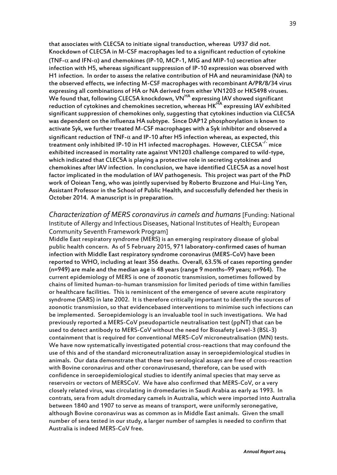that associates with CLEC5A to initiate signal transduction, whereas U937 did not. Knockdown of CLEC5A in M-CSF macrophages led to a significant reduction of cytokine (TNF- $\alpha$  and IFN- $\alpha$ ) and chemokines (IP-10, MCP-1, MIG and MIP-1 $\alpha$ ) secretion after infection with H5, whereas significant suppression of IP-10 expression was observed with H1 infection. In order to assess the relative contribution of HA and neuraminidase (NA) to the observed effects, we infecting M-CSF macrophages with recombinant A/PR/8/34 virus expressing all combinations of HA or NA derived from either VN1203 or HK5498 viruses. We found that, following CLEC5A knockdown, VN<sup>HA</sup> expressing IAV showed significant reduction of cytokines and chemokines secretion, whereas HK<sup>HA</sup> expressing IAV exhibited significant suppression of chemokines only, suggesting that cytokines induction via CLEC5A was dependent on the influenza HA subtype. Since DAP12 phosphorylation is known to activate Syk, we further treated M-CSF macrophages with a Syk inhibitor and observed a significant reduction of TNF- $\alpha$  and IP-10 after H5 infection whereas, as expected, this treatment only inhibited IP-10 in H1 infected macrophages. However,  $CLECSA<sup>-/-</sup>$  mice exhibited increased in mortality rate against VN1203 challenge compared to wild-type, which indicated that CLEC5A is playing a protective role in secreting cytokines and chemokines after IAV infection. In conclusion, we have identified CLEC5A as a novel host factor implicated in the modulation of IAV pathogenesis. This project was part of the PhD work of Ooiean Teng, who was jointly supervised by Roberto Bruzzone and Hui-Ling Yen, Assistant Professor in the School of Public Health, and successfully defended her thesis in October 2014. A manuscript is in preparation.

*Characterization of MERS coronavirus in camels and humans* [Funding: National Institute of Allergy and Infectious Diseases, National Institutes of Health; European Community Seventh Framework Program]

Middle East respiratory syndrome (MERS) is an emerging respiratory disease of global public health concern. As of 5 February 2015, 971 laboratory-confirmed cases of human infection with Middle East respiratory syndrome coronavirus (MERS-CoV) have been reported to WHO, including at least 356 deaths. Overall, 63.5% of cases reporting gender (n=949) are male and the median age is 48 years (range 9 months–99 years; n=964). The current epidemiology of MERS is one of zoonotic transmission, sometimes followed by chains of limited human-to-human transmission for limited periods of time within families or healthcare facilities. This is reminiscent of the emergence of severe acute respiratory syndrome (SARS) in late 2002. It is therefore critically important to identify the sources of zoonotic transmission, so that evidencebased interventions to minimise such infections can be implemented. Seroepidemiology is an invaluable tool in such investigations. We had previously reported a MERS-CoV pseudoparticle neutralisation test (ppNT) that can be used to detect antibody to MERS-CoV without the need for Biosafety Level-3 (BSL-3) containment that is required for conventional MERS-CoV microneutralisation (MN) tests. We have now systematically investigated potential cross-reactions that may confound the use of this and of the standard microneutralization assay in seroepidemiological studies in animals. Our data demonstrate that these two serological assays are free of cross-reaction with Bovine coronavirus and other coronavirusesand, therefore, can be used with confidence in seroepidemiological studies to identify animal species that may serve as reservoirs or vectors of MERSCoV. We have also confirmed that MERS-CoV, or a very closely related virus, was circulating in dromedaries in Saudi Arabia as early as 1993. In contrats, sera from adult dromedary camels in Australia, which were imported into Australia between 1840 and 1907 to serve as means of transport, were uniformly seronegative, although Bovine coronavirus was as common as in Middle East animals. Given the small number of sera tested in our study, a larger number of samples is needed to confirm that Australia is indeed MERS-CoV free.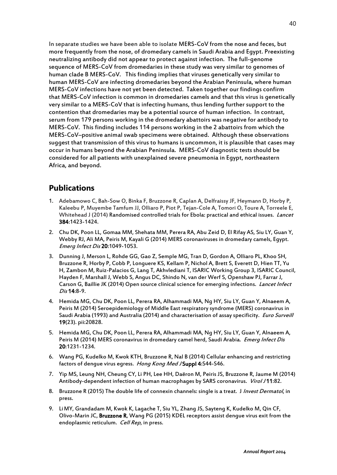In separate studies we have been able to isolate MERS-CoV from the nose and feces, but more frequently from the nose, of dromedary camels in Saudi Arabia and Egypt. Preexisting neutralizing antibody did not appear to protect against infection. The full-genome sequence of MERS-CoV from dromedaries in these study was very similar to genomes of human clade B MERS-CoV. This finding implies that viruses genetically very similar to human MERS-CoV are infecting dromedaries beyond the Arabian Peninsula, where human MERS-CoV infections have not yet been detected. Taken together our findings confirm that MERS-CoV infection is common in dromedaries camels and that this virus is genetically very similar to a MERS-CoV that is infecting humans, thus lending further support to the contention that dromedaries may be a potential source of human infection. In contrast, serum from 179 persons working in the dromedary abattoirs was negative for antibody to MERS-CoV. This finding includes 114 persons working in the 2 abattoirs from which the MERS-CoV–positive animal swab specimens were obtained. Although these observations suggest that transmission of this virus to humans is uncommon, it is plausible that cases may occur in humans beyond the Arabian Peninsula. MERS-CoV diagnostic tests should be considered for all patients with unexplained severe pneumonia in Egypt, northeastern Africa, and beyond.

### **Publications**

- 1. Adebamowo C, Bah-Sow O, Binka F, Bruzzone R, Caplan A, Delfraissy JF, Heymann D, Horby P, Kaleebu P, Muyembe Tamfum JJ, Olliaro P, Piot P, Tejan-Cole A, Tomori O, Toure A, Torreele E, Whitehead J (2014) Randomised controlled trials for Ebola: practical and ethical issues. *Lancet* 384:1423-1424.
- 2. Chu DK, Poon LL, Gomaa MM, Shehata MM, Perera RA, Abu Zeid D, El Rifay AS, Siu LY, Guan Y, Webby RJ, Ali MA, Peiris M, Kayali G (2014) MERS coronaviruses in dromedary camels, Egypt. Emerg Infect Dis 20:1049-1053.
- 3. Dunning J, Merson L, Rohde GG, Gao Z, Semple MG, Tran D, Gordon A, Olliaro PL, Khoo SH, Bruzzone R, Horby P, Cobb P, Longuere KS, Kellam P, Nichol A, Brett S, Everett D, Hien TT, Yu H, Zambon M, Ruiz-Palacios G, Lang T, Akhvlediani T, ISARIC Working Group 3, ISARIC Council, Hayden F, Marshall J, Webb S, Angus DC, Shindo N, van der Werf S, Openshaw PJ, Farrar J, Carson G, Baillie JK (2014) Open source clinical science for emerging infections. Lancet Infect Dis 14:8-9.
- 4. Hemida MG, Chu DK, Poon LL, Perera RA, Alhammadi MA, Ng HY, Siu LY, Guan Y, Alnaeem A, Peiris M (2014) Seroepidemiology of Middle East respiratory syndrome (MERS) coronavirus in Saudi Arabia (1993) and Australia (2014) and characterisation of assay specificity. *Euro Surveill* 19(23). pii:20828.
- 5. Hemida MG, Chu DK, Poon LL, Perera RA, Alhammadi MA, Ng HY, Siu LY, Guan Y, Alnaeem A, Peiris M (2014) MERS coronavirus in dromedary camel herd, Saudi Arabia. Emerg Infect Dis 20:1231-1234.
- 6. Wang PG, Kudelko M, Kwok KTH, Bruzzone R, Nal B (2014) Cellular enhancing and restricting factors of dengue virus egress. Hong Kong Med JSuppl 4:S44-S46.
- 7. Yip MS, Leung NH, Cheung CY, Li PH, Lee HH, Daëron M, Peiris JS, Bruzzone R, Jaume M (2014) Antibody-dependent infection of human macrophages by SARS coronavirus. Virol J11:82.
- 8. Bruzzone R (2015) The double life of connexin channels: single is a treat. J Invest Dermatol, in press.
- 9. LiMY, Grandadam M, Kwok K, Lagache T, Siu YL, Zhang JS, Sayteng K, Kudelko M, Qin CF, Olivo-Marin JC, Bruzzone R, Wang PG (2015) KDEL receptors assist dengue virus exit from the endoplasmic reticulum. Cell Rep, in press.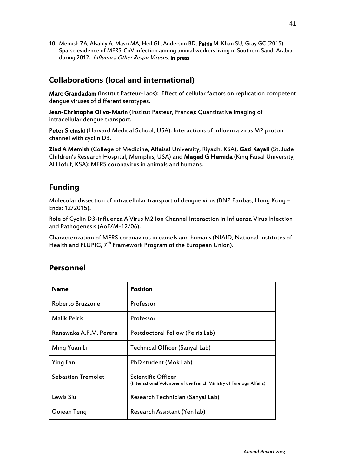10. Memish ZA, Alsahly A, Masri MA, Heil GL, Anderson BD, Peiris M, Khan SU, Gray GC (2015) Sparse evidence of MERS-CoV infection among animal workers living in Southern Saudi Arabia during 2012. Influenza Other Respir Viruses, in press.

## **Collaborations (local and international)**

Marc Grandadam (Institut Pasteur-Laos): Effect of cellular factors on replication competent dengue viruses of different serotypes.

Jean-Christophe Olivo-Marin (Institut Pasteur, France): Quantitative imaging of intracellular dengue transport.

Peter Sicinski (Harvard Medical School, USA): Interactions of influenza virus M2 proton channel with cyclin D3.

Ziad A Memish (College of Medicine, Alfaisal University, Riyadh, KSA), Gazi Kayali (St. Jude Children's Research Hospital, Memphis, USA) and Maged G Hemida (King Faisal University, Al Hofuf, KSA): MERS coronavirus in animals and humans.

## **Funding**

Molecular dissection of intracellular transport of dengue virus (BNP Paribas, Hong Kong -Ends: 12/2015).

Role of Cyclin D3-influenza A Virus M2 Ion Channel Interaction in Influenza Virus Infection and Pathogenesis (AoE/M-12/06).

Characterization of MERS coronavirus in camels and humans (NIAID, National Institutes of Health and FLUPIG, 7<sup>th</sup> Framework Program of the European Union).

| Name                      | <b>Position</b>                                                                                   |
|---------------------------|---------------------------------------------------------------------------------------------------|
| Roberto Bruzzone          | Professor                                                                                         |
| <b>Malik Peiris</b>       | Professor                                                                                         |
| Ranawaka A.P.M. Perera    | Postdoctoral Fellow (Peiris Lab)                                                                  |
| Ming Yuan Li              | Technical Officer (Sanyal Lab)                                                                    |
| Ying Fan                  | PhD student (Mok Lab)                                                                             |
| <b>Sebastien Tremolet</b> | <b>Scientific Officer</b><br>(International Volunteer of the French Ministry of Foreiogn Affairs) |
| Lewis Siu                 | Research Technician (Sanyal Lab)                                                                  |
| Ooiean Teng               | Research Assistant (Yen lab)                                                                      |

## **Personnel**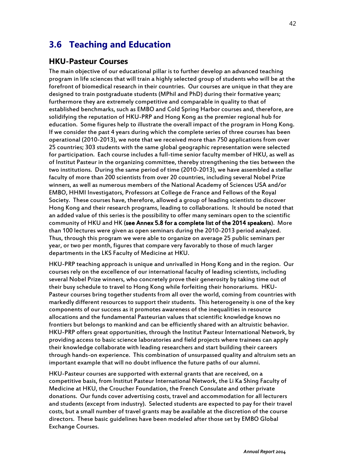# **3.6 Teaching and Education**

#### **HKU-Pasteur Courses**

The main objective of our educational pillar is to further develop an advanced teaching program in life sciences that will train a highly selected group of students who will be at the forefront of biomedical research in their countries. Our courses are unique in that they are designed to train postgraduate students (MPhil and PhD) during their formative years; furthermore they are extremely competitive and comparable in quality to that of established benchmarks, such as EMBO and Cold Spring Harbor courses and, therefore, are solidifying the reputation of HKU-PRP and Hong Kong as the premier regional hub for education. Some figures help to illustrate the overall impact of the program in Hong Kong. If we consider the past 4 years during which the complete series of three courses has been operational (2010-2013), we note that we received more than 750 applications from over 25 countries; 303 students with the same global geographic representation were selected for participation. Each course includes a full-time senior faculty member of HKU, as well as of Institut Pasteur in the organizing committee, thereby strengthening the ties between the two institutions. During the same period of time (2010-2013), we have assembled a stellar faculty of more than 200 scientists from over 20 countries, including several Nobel Prize winners, as well as numerous members of the National Academy of Sciences USA and/or EMBO, HHMI Investigators, Professors at College de France and Fellows of the Royal Society. These courses have, therefore, allowed a group of leading scientists to discover Hong Kong and their research programs, leading to collaborations. It should be noted that an added value of this series is the possibility to offer many seminars open to the scientific community of HKU and HK (see Annex 5.8 for a complete list of the 2014 speakers). More than 100 lectures were given as open seminars during the 2010-2013 period analyzed. Thus, through this program we were able to organize on average 25 public seminars per year, or two per month, figures that compare very favorably to those of much larger departments in the LKS Faculty of Medicine at HKU.

HKU-PRP teaching approach is unique and unrivalled in Hong Kong and in the region. Our courses rely on the excellence of our international faculty of leading scientists, including several Nobel Prize winners, who concretely prove their generosity by taking time out of their busy schedule to travel to Hong Kong while forfeiting their honorariums. HKU-Pasteur courses bring together students from all over the world, coming from countries with markedly different resources to support their students. This heterogeneity is one of the key components of our success as it promotes awareness of the inequalities in resource allocations and the fundamental Pasteurian values that scientific knowledge knows no frontiers but belongs to mankind and can be efficiently shared with an altruistic behavior. HKU-PRP offers great opportunities, through the Institut Pasteur International Network, by providing access to basic science laboratories and field projects where trainees can apply their knowledge collaborate with leading researchers and start building their careers through hands-on experience. This combination of unsurpassed quality and altruism sets an important example that will no doubt influence the future paths of our alumni.

HKU-Pasteur courses are supported with external grants that are received, on a competitive basis, from Institut Pasteur International Network, the Li Ka Shing Faculty of Medicine at HKU, the Croucher Foundation, the French Consulate and other private donations. Our funds cover advertising costs, travel and accommodation for all lecturers and students (except from industry). Selected students are expected to pay for their travel costs, but a small number of travel grants may be available at the discretion of the course directors. These basic guidelines have been modeled after those set by EMBO Global Exchange Courses.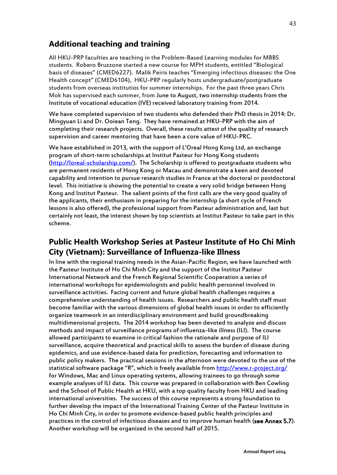## **Additional teaching and training**

All HKU-PRP faculties are teaching in the Problem-Based Learning modules for MBBS students. Robero Bruzzone started a new course for MPH students, entitled "Biological basis of diseases" (CMED6227). Malik Peiris teaches "Emerging infectious diseases: the One Health concept" (CMED6104). HKU-PRP regularly hosts undergraduate/postgraduate students from overseas institutios for summer internships. For the past three years Chris Mok has supervised each summer, from June to August, two internship students from the Institute of vocational education (IVE) received laboratory training from 2014.

We have completed supervision of two students who defended their PhD thesis in 2014: Dr. Mingyuan Li and Dr. Ooiean Teng. They have remained at HKU-PRP with the aim of completing their research projects. Overall, these results attest of the quality of research supervision and career mentoring that have been a core value of HKU-PRC.

We have established in 2013, with the support of L'Oreal Hong Kong Ltd, an exchange program of short-term scholarships at Institut Pasteur for Hong Kong students [\(http://loreal-scholarship.com/\)](http://loreal-scholarship.com/). The Scholarship is offered to postgraduate students who are permanent residents of Hong Kong or Macau and demonstrate a keen and devoted capability and intention to pursue research studies in France at the doctoral or postdoctoral level. This initiative is showing the potential to create a very solid bridge between Hong Kong and Institut Pasteur. The salient points of the first calls are the very good quality of the applicants, their enthusiasm in preparing for the internship (a short cycle of French lessons is also offered), the professional support from Pasteur administration and, last but certainly not least, the interest shown by top scientists at Institut Pasteur to take part in this scheme.

## **Public Health Workshop Series at Pasteur Institute of Ho Chi Minh City (Vietnam): Surveillance of Influenza-like Illness**

In line with the regional training needs in the Asian-Pacific Region, we have launched with the Pasteur Institute of Ho Chi Minh City and the support of the Institut Pasteur International Network and the French Regional Scientific Cooperation a series of international workshops for epidemiologists and public health personnel involved in surveillance activities. Facing current and future global health challenges requires a comprehensive understanding of health issues. Researchers and public health staff must become familiar with the various dimensions of global health issues in order to efficiently organize teamwork in an interdisciplinary environment and build groundbreaking multidimensional projects. The 2014 workshop has been devoted to analyze and discuss methods and impact of surveillance programs of influenza-like illness (ILI). The course allowed participants to examine in critical fashion the rationale and purpose of ILI surveillance, acquire theoretical and practical skills to assess the burden of disease during epidemics, and use evidence-based data for prediction, forecasting and information to public policy makers. The practical sessions in the afternoon were devoted to the use of the statistical software package "R", which is freely available fro[m http://www.r-project.org/](http://www.r-project.org/) for Windows, Mac and Linux operating systems, allowing trainees to go through some example analyses of ILI data. This course was prepared in collaboration with Ben Cowling and the School of Public Health at HKU, with a top quality faculty from HKU and leading international universities. The success of this course represents a strong foundation to further develop the impact of the International Training Center of the Pasteur Institute in Ho Chi Minh City, in order to promote evidence-based public health principles and practices in the control of infectious diseases and to improve human health (see Annex 5.7). Another workshop will be organized in the second half of 2015.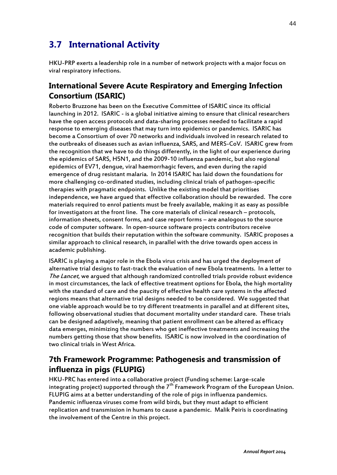# **3.7 International Activity**

HKU-PRP exerts a leadership role in a number of network projects with a major focus on viral respiratory infections.

## **International Severe Acute Respiratory and Emerging Infection Consortium (ISARIC)**

Roberto Bruzzone has been on the Executive Committee of ISARIC since its official launching in 2012. ISARIC - is a global initiative aiming to ensure that clinical researchers have the open access protocols and data-sharing processes needed to facilitate a rapid response to emerging diseases that may turn into epidemics or pandemics. ISARIC has become a Consortium of over 70 networks and individuals involved in research related to the outbreaks of diseases such as avian influenza, SARS, and MERS-CoV. ISARIC grew from the recognition that we have to do things differently, in the light of our experience during the epidemics of SARS, H5N1, and the 2009-10 influenza pandemic, but also regional epidemics of EV71, dengue, viral haemorrhagic fevers, and even during the rapid emergence of drug resistant malaria. In 2014 ISARIC has laid down the foundations for more challenging co-ordinated studies, including clinical trials of pathogen-specific therapies with pragmatic endpoints. Unlike the existing model that prioritises independence, we have argued that effective collaboration should be rewarded. The core materials required to enrol patients must be freely available, making it as easy as possible for investigators at the front line. The core materials of clinical research – protocols, information sheets, consent forms, and case report forms – are analogous to the source code of computer software. In open-source software projects contributors receive recognition that builds their reputation within the software community. ISARIC proposes a similar approach to clinical research, in parallel with the drive towards open access in academic publishing.

ISARIC is playing a major role in the Ebola virus crisis and has urged the deployment of alternative trial designs to fast-track the evaluation of new Ebola treatments. In a letter to The Lancet, we arqued that although randomized controlled trials provide robust evidence in most circumstances, the lack of effective treatment options for Ebola, the high mortality with the standard of care and the paucity of effective health care systems in the affected regions means that alternative trial designs needed to be considered. We suggested that one viable approach would be to try different treatments in parallel and at different sites, following observational studies that document mortality under standard care. These trials can be designed adaptively, meaning that patient enrollment can be altered as efficacy data emerges, minimizing the numbers who get ineffective treatments and increasing the numbers getting those that show benefits. ISARIC is now involved in the coordination of two clinical trials in West Africa.

# **7th Framework Programme: Pathogenesis and transmission of influenza in pigs (FLUPIG)**

HKU-PRC has entered into a collaborative project (Funding scheme: Large-scale integrating project) supported through the  $7<sup>th</sup>$  Framework Program of the European Union. FLUPIG aims at a better understanding of the role of pigs in influenza pandemics. Pandemic influenza viruses come from wild birds, but they must adapt to efficient replication and transmission in humans to cause a pandemic. Malik Peiris is coordinating the involvement of the Centre in this project.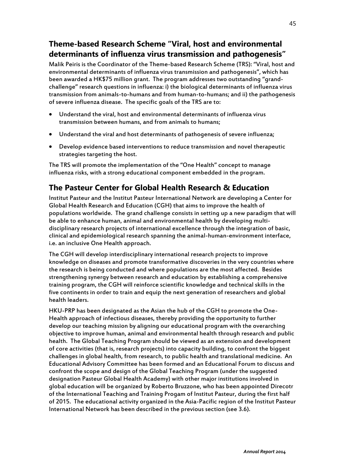# **Theme-based Research Scheme "Viral, host and environmental determinants of influenza virus transmission and pathogenesis"**

Malik Peiris is the Coordinator of the Theme-based Research Scheme (TRS): "Viral, host and environmental determinants of influenza virus transmission and pathogenesis", which has been awarded a HK\$75 million grant. The program addresses two outstanding "grandchallenge" research questions in influenza: i) the biological determinants of influenza virus transmission from animals-to-humans and from human-to-humans; and ii) the pathogenesis of severe influenza disease. The specific goals of the TRS are to:

- Understand the viral, host and environmental determinants of influenza virus transmission between humans, and from animals to humans;
- Understand the viral and host determinants of pathogenesis of severe influenza;
- Develop evidence based interventions to reduce transmission and novel therapeutic strategies targeting the host.

The TRS will promote the implementation of the "One Health" concept to manage influenza risks, with a strong educational component embedded in the program.

## **The Pasteur Center for Global Health Research & Education**

Institut Pasteur and the Institut Pasteur International Network are developing a Center for Global Health Research and Education (CGH) that aims to improve the health of populations worldwide. The grand challenge consists in setting up a new paradigm that will be able to enhance human, animal and environmental health by developing multidisciplinary research projects of international excellence through the integration of basic, clinical and epidemiological research spanning the animal-human-environment interface, i.e. an inclusive One Health approach.

The CGH will develop interdisciplinary international research projects to improve knowledge on diseases and promote transformative discoveries in the very countries where the research is being conducted and where populations are the most affected. Besides strengthening synergy between research and education by establishing a comprehensive training program, the CGH will reinforce scientific knowledge and technical skills in the five continents in order to train and equip the next generation of researchers and global health leaders.

HKU-PRP has been designated as the Asian the hub of the CGH to promote the One-Health approach of infectious diseases, thereby providing the opportunity to further develop our teaching mission by aligning our educational program with the overarching objective to improve human, animal and environmental health through research and public health. The Global Teaching Program should be viewed as an extension and development of core activities (that is, research projects) into capacity building, to confront the biggest challenges in global health, from research, to public health and translational medicine. An Educational Advisory Committee has been formed and an Educational Forum to discuss and confront the scope and design of the Global Teaching Program (under the suggested designation Pasteur Global Health Academy) with other major institutions involved in global education will be organized by Roberto Bruzzone, who has been appointed Direcotr of the International Teaching and Training Progam of Institut Pasteur, during the first half of 2015. The educational activity organized in the Asia-Pacific region of the Institut Pasteur International Network has been described in the previous section (see 3.6).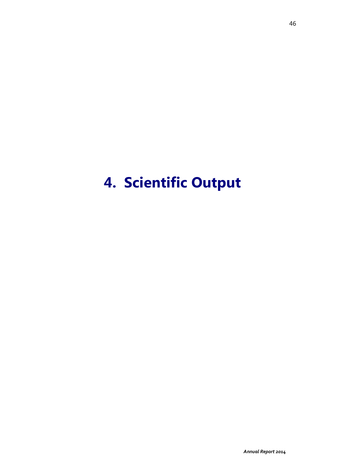# **4. Scientific Output**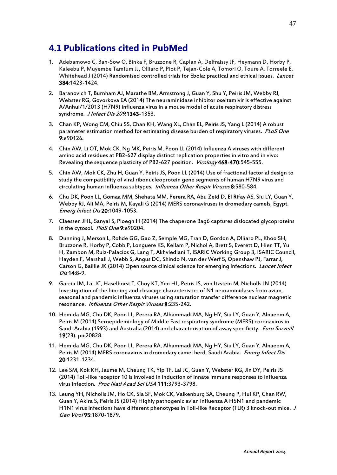# **4.1 Publications cited in PubMed**

- 1. Adebamowo C, Bah-Sow O, Binka F, Bruzzone R, Caplan A, Delfraissy JF, Heymann D, Horby P, Kaleebu P, Muyembe Tamfum JJ, Olliaro P, Piot P, Tejan-Cole A, Tomori O, Toure A, Torreele E, Whitehead J (2014) Randomised controlled trials for Ebola: practical and ethical issues. Lancet 384:1423-1424.
- 2. Baranovich T, Burnham AJ, Marathe BM, Armstrong J, Guan Y, Shu Y, Peiris JM, Webby RJ, Webster RG, Govorkova EA (2014) The neuraminidase inhibitor oseltamivir is effective against A/Anhui/1/2013 (H7N9) influenza virus in a mouse model of acute respiratory distress syndrome. J Infect Dis 209.1343-1353.
- 3. Chan KP, Wong CM, Chiu SS, Chan KH, Wang XL, Chan EL, Peiris JS, Yang L (2014) A robust parameter estimation method for estimating disease burden of respiratory viruses. PLoS One 9:e90126.
- 4. Chin AW, Li OT, Mok CK, Ng MK, Peiris M, Poon LL (2014[\) Influenza A viruses with different](http://www-ncbi-nlm-nih-gov.eproxy1.lib.hku.hk/pubmed/25262472)  [amino acid residues at PB2-627 display distinct replication properties in vitro and in vivo:](http://www-ncbi-nlm-nih-gov.eproxy1.lib.hku.hk/pubmed/25262472)  [Revealing the sequence plasticity of PB2-627 position.](http://www-ncbi-nlm-nih-gov.eproxy1.lib.hku.hk/pubmed/25262472) Virology 468-470:545-555.
- 5. Chin AW, Mok CK, Zhu H, Guan Y, Peiris JS, Poon LL (2014) [Use of fractional factorial design to](http://www-ncbi-nlm-nih-gov.eproxy1.lib.hku.hk/pubmed/25043276)  [study the compatibility of viral ribonucleoprotein gene segments of human](http://www-ncbi-nlm-nih-gov.eproxy1.lib.hku.hk/pubmed/25043276) H7N9 virus and [circulating human influenza](http://www-ncbi-nlm-nih-gov.eproxy1.lib.hku.hk/pubmed/25043276) subtypes. Influenza Other Respir Viruses 8:580-584.
- 6. Chu DK, Poon LL, Gomaa MM, Shehata MM, Perera RA, Abu Zeid D, El Rifay AS, Siu LY, Guan Y, Webby RJ, Ali MA, Peiris M, Kayali G (2014) MERS coronaviruses in dromedary camels, Egypt. Emerg Infect Dis 20:1049-1053.
- 7. Claessen JHL, Sanyal S, Ploegh H (2014) The chaperone Bag6 captures dislocated glycoproteins in the cytosol. PloS One 9:e90204.
- 8. Dunning J, Merson L, Rohde GG, Gao Z, Semple MG, Tran D, Gordon A, Olliaro PL, Khoo SH, Bruzzone R, Horby P, Cobb P, Longuere KS, Kellam P, Nichol A, Brett S, Everett D, Hien TT, Yu H, Zambon M, Ruiz-Palacios G, Lang T, Akhvlediani T, ISARIC Working Group 3, ISARIC Council, Hayden F, Marshall J, Webb S, Angus DC, Shindo N, van der Werf S, Openshaw PJ, Farrar J, Carson G, Baillie JK (2014) Open source clinical science for emerging infections. Lancet Infect Dis 14:8-9.
- 9. Garcia JM, Lai JC, Haselhorst T, Choy KT, Yen HL, Peiris JS, von Itzstein M, Nicholls JN (2014) Investigation of the binding and cleavage characteristics of N1 neuraminidases from avian, seasonal and pandemic influenza viruses using saturation transfer difference nuclear magnetic resonance. Influenza Other Respir Viruses 8:235-242.
- 10. Hemida MG, Chu DK, Poon LL, Perera RA, Alhammadi MA, Ng HY, Siu LY, Guan Y, Alnaeem A, Peiris M (2014) Seroepidemiology of Middle East respiratory syndrome (MERS) coronavirus in Saudi Arabia (1993) and Australia (2014) and characterisation of assay specificity. *Euro Surveill* 19(23). pii:20828.
- 11. Hemida MG, Chu DK, Poon LL, Perera RA, Alhammadi MA, Ng HY, Siu LY, Guan Y, Alnaeem A, Peiris M (2014) MERS coronavirus in dromedary camel herd, Saudi Arabia. *Emerg Infect Dis* 20:1231-1234.
- 12. Lee SM, Kok KH, Jaume M, Cheung TK, Yip TF, Lai JC, Guan Y, Webster RG, Jin DY, Peiris JS (2014) Toll-like receptor 10 is involved in induction of innate immune responses to influenza virus infection. Proc Natl Acad Sci USA 111:3793-3798.
- 13. Leung YH, Nicholls JM, Ho CK, Sia SF, Mok CK, Valkenburg SA, Cheung P, Hui KP, Chan RW, Guan Y, Akira S, Peiris JS (2014[\) Highly pathogenic avian influenza](http://www-ncbi-nlm-nih-gov.eproxy1.lib.hku.hk/pubmed/24878639) A H5N1 and pandemic [H1N1 virus infections have different phenotypes in Toll-like Receptor \(TLR\) 3 knock-out mice.](http://www-ncbi-nlm-nih-gov.eproxy1.lib.hku.hk/pubmed/24878639) J Gen Virol 95:1870-1879.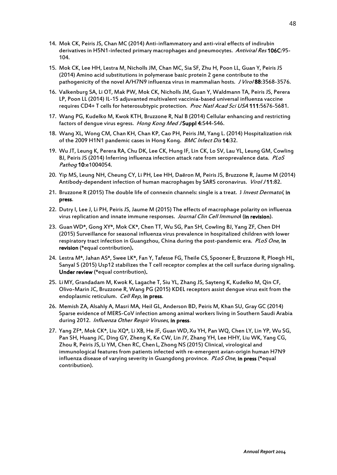- 14. Mok CK, Peiris JS, Chan MC (2014) Anti-inflammatory and anti-viral effects of indirubin derivatives in H5N1-infected primary macrophages and pneumocytes. Antiviral Res 106C:95- 104.
- 15. Mok CK, Lee HH, Lestra M, Nicholls JM, Chan MC, Sia SF, Zhu H, Poon LL, Guan Y, Peiris JS (2014) Amino acid substitutions in polymerase basic protein 2 gene contribute to the pathogenicity of the novel A/H7N9 influenza virus in mammalian hosts. J Viro/88:3568-3576.
- 16. Valkenburg SA, Li OT, Mak PW, Mok CK, Nicholls JM, Guan Y, Waldmann TA, Peiris JS, Perera LP, Poon LL (2014) [IL-15 adjuvanted multivalent vaccinia-based universal influenza](http://www-ncbi-nlm-nih-gov.eproxy1.lib.hku.hk/pubmed/24706798) vaccine [requires CD4+ T cells for heterosubtypic protection.](http://www-ncbi-nlm-nih-gov.eproxy1.lib.hku.hk/pubmed/24706798) Proc Natl Acad Sci USA 111:5676-5681.
- 17. Wang PG, Kudelko M, Kwok KTH, Bruzzone R, Nal B (2014) Cellular enhancing and restricting factors of dengue virus egress. Hong Kong Med J Suppl 4:S44-S46.
- 18. Wang XL, Wong CM, Chan KH, Chan KP, Cao PH, Peiris JM, Yang L. (2014) [Hospitalization](http://www.ncbi.nlm.nih.gov/pubmed/24428855) risk of the 2009 H1N1 [pandemic](http://www.ncbi.nlm.nih.gov/pubmed/24428855) cases in Hong Kong. BMC Infect Dis 14:32.
- 19. Wu JT, Leung K, Perera RA, Chu DK, Lee CK, Hung IF, Lin CK, Lo SV, Lau YL, Leung GM, Cowling BJ, Peiris JS (2014) Inferring influenza infection attack rate from seroprevalence data. PLoS Pathog 10:e1004054.
- 20. Yip MS, Leung NH, Cheung CY, Li PH, Lee HH, Daëron M, Peiris JS, Bruzzone R, Jaume M (2014) Antibody-dependent infection of human macrophages by SARS coronavirus. Virol J11:82.
- 21. Bruzzone R (2015) The double life of connexin channels: single is a treat. J Invest Dermatol, in press.
- 22. Dutry I, Lee J, Li PH, Peiris JS, Jaume M (2015) The effects of macrophage polarity on influenza virus replication and innate immune responses. Journal Clin Cell Immunol (in revision).
- 23. GuanWD\*, Gong XY\*, Mok CK\*, Chen TT, Wu SG, Pan SH, Cowling BJ, Yang ZF, Chen DH (2015) Surveillance for seasonal influenza virus prevalence in hospitalized children with lower respiratory tract infection in Guangzhou, China during the post-pandemic era. PLoS One, in revision (\*equal contribution).
- 24. Lestra M\*, Jahan AS\*, Swee LK\*, Fan Y, Tafesse FG, Theile CS, Spooner E, Bruzzone R, Ploegh HL, Sanyal S (2015) Usp12 stabilizes the T cell receptor complex at the cell surface during signaling. Under review (\*equal contribution).
- 25. LiMY, Grandadam M, Kwok K, Lagache T, Siu YL, Zhang JS, Sayteng K, Kudelko M, Qin CF, Olivo-Marin JC, Bruzzone R, Wang PG (2015) KDEL receptors assist dengue virus exit from the endoplasmic reticulum. Cell Rep, in press.
- 26. Memish ZA, Alsahly A, Masri MA, Heil GL, Anderson BD, Peiris M, Khan SU, Gray GC (2014) Sparse evidence of MERS-CoV infection among animal workers living in Southern Saudi Arabia during 2012. Influenza Other Respir Viruses, in press.
- 27. Yang ZF\*, Mok CK\*, Liu XQ\*, Li XB, He JF, Guan WD,Xu YH, Pan WQ, Chen LY, Lin YP, Wu SG, Pan SH, Huang JC, Ding GY, Zheng K, Ke CW, Lin JY, Zhang YH, Lee HHY, Liu WK, Yang CG, Zhou R, Peiris JS, Li YM, Chen RC, Chen L, Zhong NS (2015) Clinical, virological and immunological features from patients infected with re-emergent avian-origin human H7N9 influenza disease of varying severity in Guangdong province. Plos One, in press (\*equal contribution).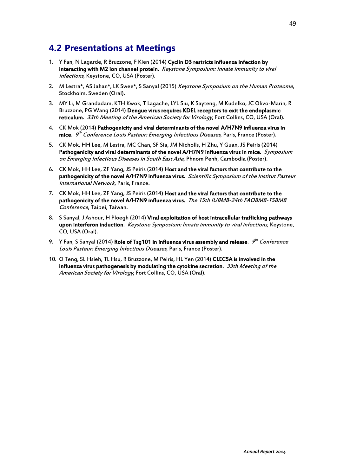# **4.2 Presentations at Meetings**

- 1. Y Fan, N Lagarde, R Bruzzone, F Kien (2014) Cyclin D3 restricts influenza infection by interacting with M2 ion channel protein. Keystone Symposium: Innate immunity to viral infections, Keystone, CO, USA (Poster).
- 2. M Lestra\*, AS Jahan\*, LK Swee\*, S Sanyal (2015) Keystone Symposium on the Human Proteome, Stockholm, Sweden (Oral).
- 3. MY Li, M Grandadam, KTH Kwok, T Lagache, LYL Siu, K Sayteng, M Kudelko, JC Olivo-Marin, R Bruzzone, PG Wang (2014) Dengue virus requires KDEL receptors to exit the endoplasmic reticulum. 33th Meeting of the American Society for Virology, Fort Collins, CO, USA (Oral).
- 4. CK Mok (2014) Pathogenicity and viral determinants of the novel A/H7N9 influenza virus in **mice**. *9<sup>th</sup> Conference Louis Pasteur: Emerging Infectious Diseases*, Paris, France (Poster).
- 5. CK Mok, HH Lee, M Lestra, MC Chan, SF Sia, JM Nicholls, H Zhu, Y Guan, JS Peiris (2014) Pathogenicity and viral determinants of the novel A/H7N9 influenza virus in mice. Symposium on Emerging Infectious Diseases in South East Asia, Phnom Penh, Cambodia (Poster).
- 6. CK Mok, HH Lee, ZF Yang, JS Peiris (2014) Host and the viral factors that contribute to the pathogenicity of the novel A/H7N9 influenza virus. Scientific Symposium of the Institut Pasteur International Network, Paris, France.
- 7. CK Mok, HH Lee, ZF Yang, JS Peiris (2014) Host and the viral factors that contribute to the pathogenicity of the novel A/H7N9 influenza virus. The 15th IUBMB-24th FAOBMB-TSBMB Conference, Taipei, Taiwan.
- 8. S Sanyal, J Ashour, H Ploegh (2014) Viral exploitation of host intracellular trafficking pathways upon interferon induction. Keystone Symposium: Innate immunity to viral infections, Keystone, CO, USA (Oral).
- 9. Y Fan, S Sanyal (2014) **Role of Tsg101 in influenza virus assembly and release**. *9<sup>th</sup> Conference* Louis Pasteur: Emerging Infectious Diseases, Paris, France (Poster).
- 10. O Teng, SL Hsieh, TL Hsu, R Bruzzone, M Peiris, HL Yen (2014) CLEC5A is involved in the influenza virus pathogenesis by modulating the cytokine secretion.  $33th$  Meeting of the American Society for Virology, Fort Collins, CO, USA (Oral).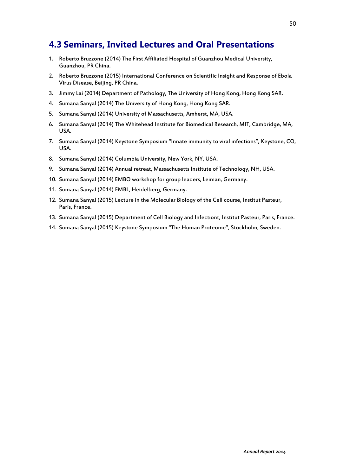# **4.3 Seminars, Invited Lectures and Oral Presentations**

- 1. Roberto Bruzzone (2014) The First Affiliated Hospital of Guanzhou Medical University, Guanzhou, PR China.
- 2. Roberto Bruzzone (2015) International Conference on Scientific Insight and Response of Ebola Virus Disease, Beijing, PR China.
- 3. Jimmy Lai (2014) Department of Pathology, The University of Hong Kong, Hong Kong SAR.
- 4. Sumana Sanyal (2014) The University of Hong Kong, Hong Kong SAR.
- 5. Sumana Sanyal (2014) University of Massachusetts, Amherst, MA, USA.
- 6. Sumana Sanyal (2014) The Whitehead Institute for Biomedical Research, MIT, Cambridge, MA, USA.
- 7. Sumana Sanyal (2014) Keystone Symposium "Innate immunity to viral infections", Keystone, CO, USA.
- 8. Sumana Sanyal (2014) Columbia University, New York, NY, USA.
- 9. Sumana Sanyal (2014) Annual retreat, Massachusetts Institute of Technology, NH, USA.
- 10. Sumana Sanyal (2014) EMBO workshop for group leaders, Leiman, Germany.
- 11. Sumana Sanyal (2014) EMBL, Heidelberg, Germany.
- 12. Sumana Sanyal (2015) Lecture in the Molecular Biology of the Cell course, Institut Pasteur, Paris, France.
- 13. Sumana Sanyal (2015) Department of Cell Biology and Infectiont, Institut Pasteur, Paris, France.
- 14. Sumana Sanyal (2015) Keystone Symposium "The Human Proteome", Stockholm, Sweden.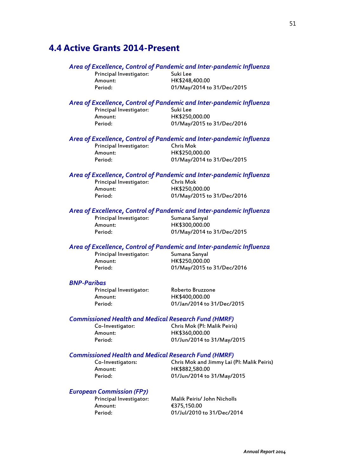### **4.4 Active Grants 2014-Present**

#### *Area of Excellence, Control of Pandemic and Inter-pandemic Influenza*

Principal Investigator: Suki Lee<br>Amount: HK\$248

Amount: HK\$248,400.00 Period: 01/May/2014 to 31/Dec/2015

# *Area of Excellence, Control of Pandemic and Inter-pandemic Influenza*

Principal Investigator: Amount: HK\$250,000.00

Period: 01/May/2015 to 31/Dec/2016

# *Area of Excellence, Control of Pandemic and Inter-pandemic Influenza*

Principal Investigator: Amount: HK\$250,000.00

01/May/2014 to 31/Dec/2015

#### *Area of Excellence, Control of Pandemic and Inter-pandemic Influenza*

Principal Investigator: Chris Mok Amount: HK\$250,000.00<br>Period: 01/Mav/2015 to

01/May/2015 to 31/Dec/2016

#### *Area of Excellence, Control of Pandemic and Inter-pandemic Influenza*

Principal Investigator: Sumana Sanyal

HK\$300,000.00 Period: 01/May/2014 to 31/Dec/2015

# *Area of Excellence, Control of Pandemic and Inter-pandemic Influenza*

Principal Investigator: Amount: HK\$250,000.00

Period: 01/May/2015 to 31/Dec/2016

#### *BNP-Paribas*

Principal Investigator: Roberto Bruzzone Amount: HK\$400,000.00

Period: 01/Jan/2014 to 31/Dec/2015

#### *Commissioned Health and Medical Research Fund (HMRF)*

Amount: HK\$360,000.00

Co-Investigator: Chris Mok (PI: Malik Peiris) Period: 01/Jun/2014 to 31/May/2015

#### *Commissioned Health and Medical Research Fund (HMRF)*

Co-Investigators: Chris Mok and Jimmy Lai (PI: Malik Peiris) Amount: HK\$882,580.00<br>Period: 01/lun/2014 to 01/Jun/2014 to 31/May/2015

#### *European Commission (FP7)*

Amount: €375,150.00

Principal Investigator: Malik Peiris/ John Nicholls Period: 01/Jul/2010 to 31/Dec/2014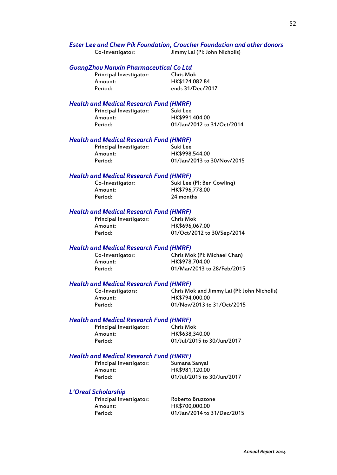# *Ester Lee and Chew Pik Foundation, Croucher Foundation and other donors*<br>Co-Investigator: Jimmy Lai (PI: John Nicholls)

Jimmy Lai (PI: John Nicholls)

# *GuangZhou Nanxin Pharmaceutical Co Ltd*

Principal Investigator: Amount: HK\$124,082.84

Period: ends 31/Dec/2017

#### *Health and Medical Research Fund (HMRF)*

| Principal Investigator: | Suki Lee                   |
|-------------------------|----------------------------|
| Amount:                 | HK\$991,404.00             |
| Period:                 | 01/Jan/2012 to 31/Oct/2014 |

#### *Health and Medical Research Fund (HMRF)*

Principal Investigator: Suki Lee Amount: HK\$998,544.00<br>Period: 01/lan/2013.to 01/Jan/2013 to 30/Nov/2015

#### *Health and Medical Research Fund (HMRF)*

| Co-Investigator: | Suki Lee (PI: Ben Cowling) |
|------------------|----------------------------|
| Amount:          | HK\$796,778.00             |
| Period:          | 24 months                  |

#### *Health and Medical Research Fund (HMRF)*

| Principal Investigator: | <b>Chris Mok</b>           |
|-------------------------|----------------------------|
| Amount:                 | HK\$696,067.00             |
| Period:                 | 01/Oct/2012 to 30/Sep/2014 |

#### *Health and Medical Research Fund (HMRF)*

| Co-Investigator: | Chris Mok (PI: Michael Chan) |
|------------------|------------------------------|
| Amount:          | HK\$978,704.00               |
| Period:          | 01/Mar/2013 to 28/Feb/2015   |

#### *Health and Medical Research Fund (HMRF)*

| Co-Investigators: | Chris Mok and Jimmy Lai (PI: John Nicholls) |
|-------------------|---------------------------------------------|
| Amount:           | HK\$794,000.00                              |
| Period:           | 01/Nov/2013 to 31/Oct/2015                  |

#### *Health and Medical Research Fund (HMRF)*

| Principal Investigator: |  |
|-------------------------|--|
| Amount:                 |  |
| Period:                 |  |

Chris Mok HK\$638,340.00 01/Jul/2015 to 30/Jun/2017

#### *Health and Medical Research Fund (HMRF)*

Principal Investigator: Sumana Sanyal Amount: HK\$981,120.00 Period: 01/Jul/2015 to 30/Jun/2017

*L'Oreal Scholarship*

Principal Investigator: Roberto Bruzzone Period: 01/Jan/2014 to 31/Dec/2015

HK\$700,000.00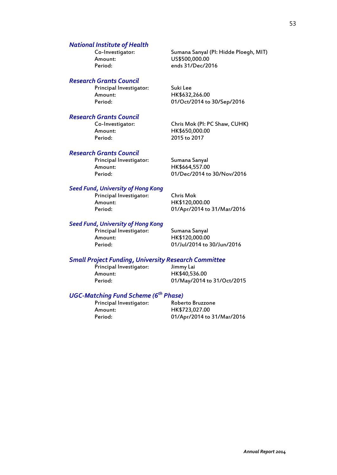# *National Institute of Health*

Co-Investigator: Sumana Sanyal (PI: Hidde Ploegh, MIT) Amount: US\$500,000.00<br>Period: ends 31/Dec/20

#### *Research Grants Council*

Principal Investigator: Suki Lee Amount: HK\$632,266.00<br>Period: 01/Oct/2014 to

# *Research Grants Council*

Period: 2015 to 2017

01/Oct/2014 to 30/Sep/2016

ends 31/Dec/2016

Chris Mok (PI: PC Shaw, CUHK) Amount: HK\$650,000.00

#### *Research Grants Council*

Principal Investigator: Sumana Sanyal<br>Amount: HK\$664,557.00

HK\$664,557.00 Period: 01/Dec/2014 to 30/Nov/2016

#### *Seed Fund, University of Hong Kong*

Principal Investigator: Chris Mok Amount: HK\$120,000.00<br>Period: 01/Apr/2014 to

01/Apr/2014 to 31/Mar/2016

#### *Seed Fund, University of Hong Kong*

Principal Investigator: Sumana Sanyal Amount: HK\$120,000.00

Period: 01/Jul/2014 to 30/Jun/2016

# *Small Project Funding, University Research Committee*

Principal Investigator: Amount: HK\$40,536.00

01/May/2014 to 31/Oct/2015

# *UGC-Matching Fund Scheme (6th Phase)*

Principal Investigator: Amount: HK\$723,027.00

Period: 01/Apr/2014 to 31/Mar/2016